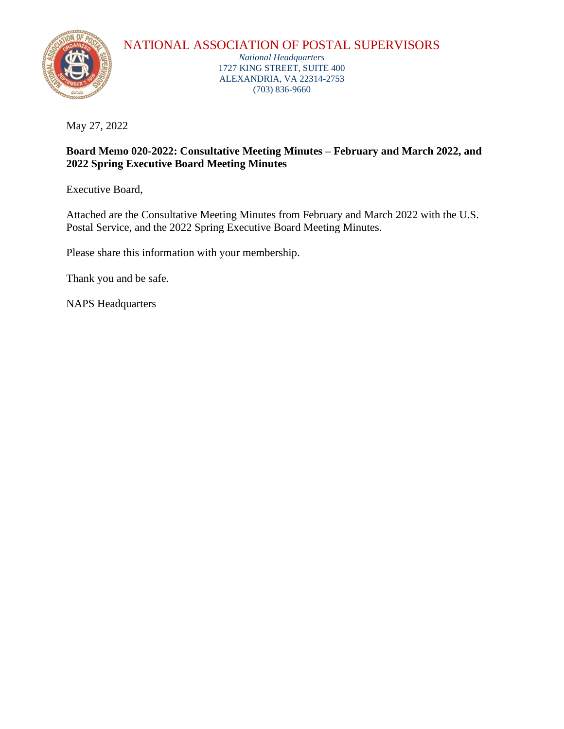

## NATIONAL ASSOCIATION OF POSTAL SUPERVISORS

*National Headquarters* 1727 KING STREET, SUITE 400 ALEXANDRIA, VA 22314-2753 (703) 836-9660

May 27, 2022

## **Board Memo 020-2022: Consultative Meeting Minutes – February and March 2022, and 2022 Spring Executive Board Meeting Minutes**

Executive Board,

Attached are the Consultative Meeting Minutes from February and March 2022 with the U.S. Postal Service, and the 2022 Spring Executive Board Meeting Minutes.

Please share this information with your membership.

Thank you and be safe.

NAPS Headquarters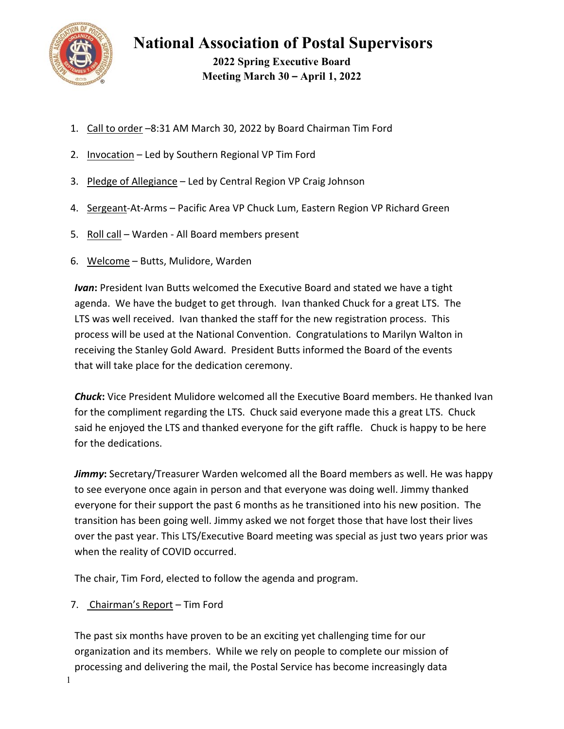

**2022 Spring Executive Board Meeting March 30 – April 1, 2022** 

- 1. Call to order –8:31 AM March 30, 2022 by Board Chairman Tim Ford
- 2. Invocation Led by Southern Regional VP Tim Ford
- 3. Pledge of Allegiance Led by Central Region VP Craig Johnson
- 4. Sergeant-At-Arms Pacific Area VP Chuck Lum, Eastern Region VP Richard Green
- 5. Roll call Warden All Board members present
- 6. Welcome Butts, Mulidore, Warden

**Ivan:** President Ivan Butts welcomed the Executive Board and stated we have a tight agenda. We have the budget to get through. Ivan thanked Chuck for a great LTS. The LTS was well received. Ivan thanked the staff for the new registration process. This process will be used at the National Convention. Congratulations to Marilyn Walton in receiving the Stanley Gold Award. President Butts informed the Board of the events that will take place for the dedication ceremony.

*Chuck***:** Vice President Mulidore welcomed all the Executive Board members. He thanked Ivan for the compliment regarding the LTS. Chuck said everyone made this a great LTS. Chuck said he enjoyed the LTS and thanked everyone for the gift raffle. Chuck is happy to be here for the dedications.

*Jimmy***:** Secretary/Treasurer Warden welcomed all the Board members as well. He was happy to see everyone once again in person and that everyone was doing well. Jimmy thanked everyone for their support the past 6 months as he transitioned into his new position. The transition has been going well. Jimmy asked we not forget those that have lost their lives over the past year. This LTS/Executive Board meeting was special as just two years prior was when the reality of COVID occurred.

The chair, Tim Ford, elected to follow the agenda and program.

7. Chairman's Report - Tim Ford

The past six months have proven to be an exciting yet challenging time for our organization and its members. While we rely on people to complete our mission of processing and delivering the mail, the Postal Service has become increasingly data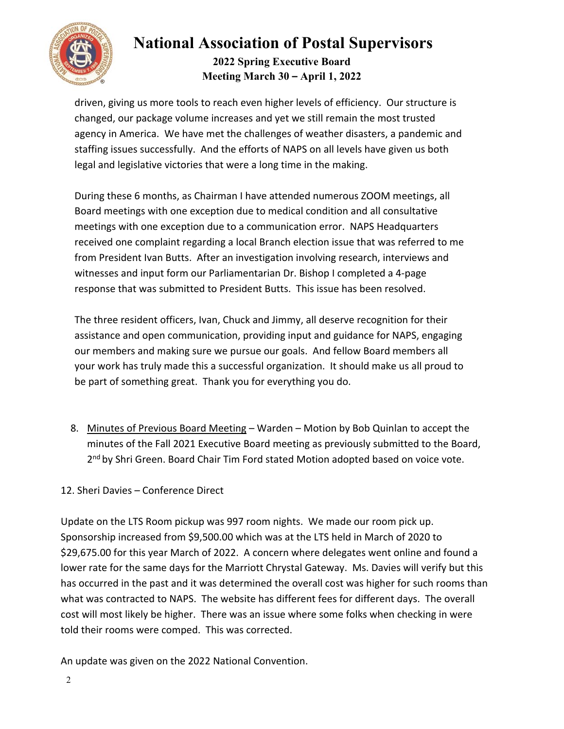

## **2022 Spring Executive Board Meeting March 30 – April 1, 2022**

driven, giving us more tools to reach even higher levels of efficiency. Our structure is changed, our package volume increases and yet we still remain the most trusted agency in America. We have met the challenges of weather disasters, a pandemic and staffing issues successfully. And the efforts of NAPS on all levels have given us both legal and legislative victories that were a long time in the making.

During these 6 months, as Chairman I have attended numerous ZOOM meetings, all Board meetings with one exception due to medical condition and all consultative meetings with one exception due to a communication error. NAPS Headquarters received one complaint regarding a local Branch election issue that was referred to me from President Ivan Butts. After an investigation involving research, interviews and witnesses and input form our Parliamentarian Dr. Bishop I completed a 4‐page response that was submitted to President Butts. This issue has been resolved.

The three resident officers, Ivan, Chuck and Jimmy, all deserve recognition for their assistance and open communication, providing input and guidance for NAPS, engaging our members and making sure we pursue our goals. And fellow Board members all your work has truly made this a successful organization. It should make us all proud to be part of something great. Thank you for everything you do.

8. Minutes of Previous Board Meeting – Warden – Motion by Bob Quinlan to accept the minutes of the Fall 2021 Executive Board meeting as previously submitted to the Board, 2<sup>nd</sup> by Shri Green. Board Chair Tim Ford stated Motion adopted based on voice vote.

## 12. Sheri Davies – Conference Direct

Update on the LTS Room pickup was 997 room nights. We made our room pick up. Sponsorship increased from \$9,500.00 which was at the LTS held in March of 2020 to \$29,675.00 for this year March of 2022. A concern where delegates went online and found a lower rate for the same days for the Marriott Chrystal Gateway. Ms. Davies will verify but this has occurred in the past and it was determined the overall cost was higher for such rooms than what was contracted to NAPS. The website has different fees for different days. The overall cost will most likely be higher. There was an issue where some folks when checking in were told their rooms were comped. This was corrected.

An update was given on the 2022 National Convention.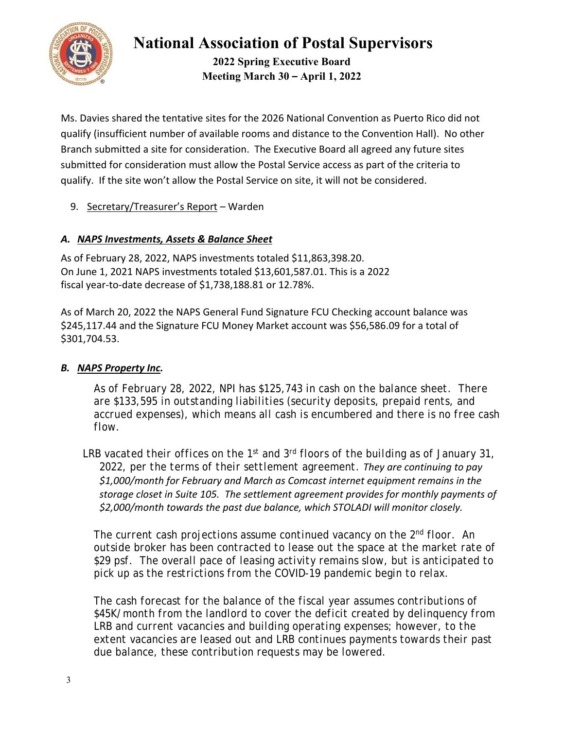

**2022 Spring Executive Board Meeting March 30 – April 1, 2022** 

Ms. Davies shared the tentative sites for the 2026 National Convention as Puerto Rico did not qualify (insufficient number of available rooms and distance to the Convention Hall). No other Branch submitted a site for consideration. The Executive Board all agreed any future sites submitted for consideration must allow the Postal Service access as part of the criteria to qualify. If the site won't allow the Postal Service on site, it will not be considered.

9. Secretary/Treasurer's Report – Warden

## *A. NAPS Investments, Assets & Balance Sheet*

As of February 28, 2022, NAPS investments totaled \$11,863,398.20. On June 1, 2021 NAPS investments totaled \$13,601,587.01. This is a 2022 fiscal year‐to‐date decrease of \$1,738,188.81 or 12.78%.

As of March 20, 2022 the NAPS General Fund Signature FCU Checking account balance was \$245,117.44 and the Signature FCU Money Market account was \$56,586.09 for a total of \$301,704.53.

## *B. NAPS Property Inc.*

*As of February 28, 2022, NPI has \$125,743 in cash on the balance sheet. There are \$133,595 in outstanding liabilities (security deposits, prepaid rents, and accrued expenses), which means all cash is encumbered and there is no free cash flow.* 

*LRB vacated their offices on the 1st and 3rd floors of the building as of January 31, 2022, per the terms of their settlement agreement. They are continuing to pay \$1,000/month for February and March as Comcast internet equipment remains in the storage closet in Suite 105. The settlement agreement provides for monthly payments of \$2,000/month towards the past due balance, which STOLADI will monitor closely.*

*The current cash projections assume continued vacancy on the 2nd floor. An outside broker has been contracted to lease out the space at the market rate of \$29 psf. The overall pace of leasing activity remains slow, but is anticipated to pick up as the restrictions from the COVID-19 pandemic begin to relax.*

*The cash forecast for the balance of the fiscal year assumes contributions of \$45K/month from the landlord to cover the deficit created by delinquency from LRB and current vacancies and building operating expenses; however, to the extent vacancies are leased out and LRB continues payments towards their past due balance, these contribution requests may be lowered.*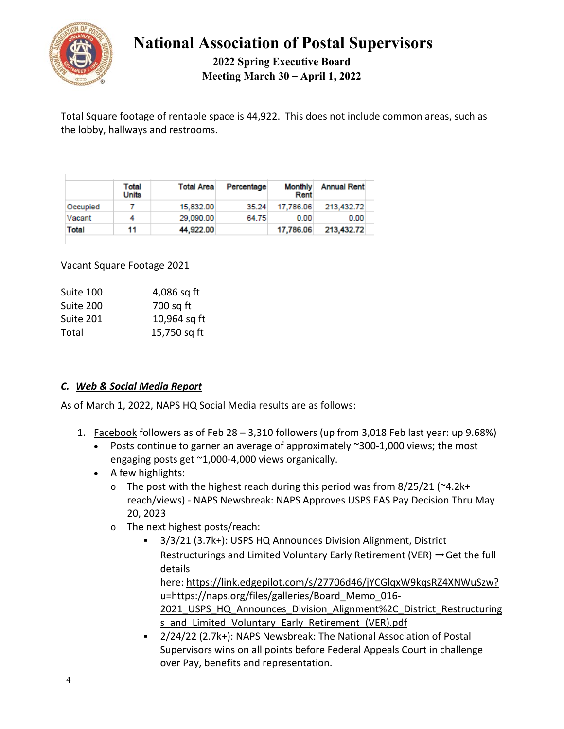

**2022 Spring Executive Board Meeting March 30 – April 1, 2022** 

Total Square footage of rentable space is 44,922. This does not include common areas, such as the lobby, hallways and restrooms.

|              | Total<br><b>Units</b> | <b>Total Area</b> | Percentage | <b>Monthly</b><br>Rent | <b>Annual Rent</b> |
|--------------|-----------------------|-------------------|------------|------------------------|--------------------|
| Occupied     |                       | 15.832.00         | 35.24      | 17.786.06              | 213.432.72         |
| Vacant       | 4                     | 29,090.00         | 64.75      | 0.00                   | 0.00               |
| <b>Total</b> | 11                    | 44,922.00         |            | 17,786.06              | 213,432.72         |

Vacant Square Footage 2021

| Suite 100 | 4,086 sq ft  |  |  |
|-----------|--------------|--|--|
| Suite 200 | 700 sq ft    |  |  |
| Suite 201 | 10,964 sq ft |  |  |
| Total     | 15,750 sq ft |  |  |

## *C. Web & Social Media Report*

As of March 1, 2022, NAPS HQ Social Media results are as follows:

- 1. Facebook followers as of Feb 28 3,310 followers (up from 3,018 Feb last year: up 9.68%)
	- Posts continue to garner an average of approximately ~300‐1,000 views; the most engaging posts get ~1,000‐4,000 views organically.
	- A few highlights:
		- $\circ$  The post with the highest reach during this period was from 8/25/21 ( $\sim$ 4.2k+ reach/views) ‐ NAPS Newsbreak: NAPS Approves USPS EAS Pay Decision Thru May 20, 2023
		- o The next highest posts/reach:
			- 3/3/21 (3.7k+): USPS HQ Announces Division Alignment, District Restructurings and Limited Voluntary Early Retirement (VER) ➡Get the full details

here: https://link.edgepilot.com/s/27706d46/jYCGlqxW9kqsRZ4XNWuSzw? u=https://naps.org/files/galleries/Board Memo 016-

2021 USPS HQ Announces Division Alignment%2C District Restructuring s and Limited Voluntary Early Retirement (VER).pdf

 2/24/22 (2.7k+): NAPS Newsbreak: The National Association of Postal Supervisors wins on all points before Federal Appeals Court in challenge over Pay, benefits and representation.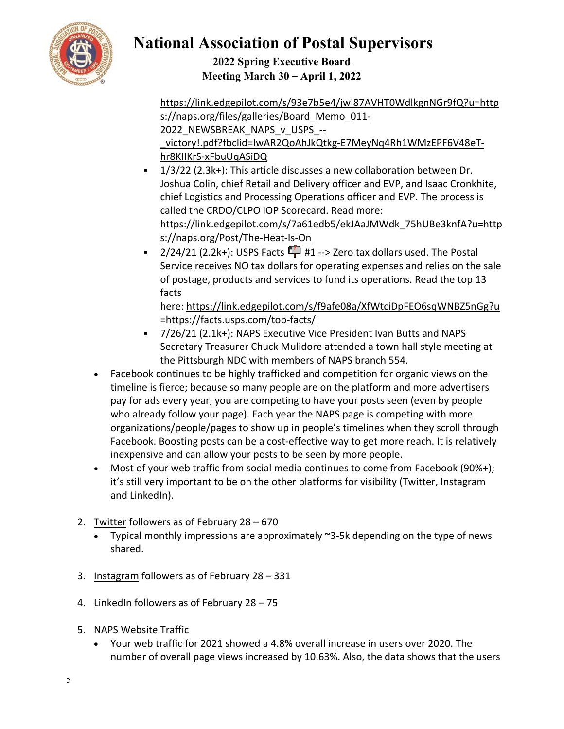

**2022 Spring Executive Board Meeting March 30 – April 1, 2022** 

https://link.edgepilot.com/s/93e7b5e4/jwi87AVHT0WdlkgnNGr9fQ?u=http s://naps.org/files/galleries/Board Memo 011-2022 NEWSBREAK NAPS v USPS --

victory!.pdf?fbclid=IwAR2QoAhJkQtkg-E7MeyNq4Rh1WMzEPF6V48eThr8KIIKrS‐xFbuUqASiDQ

- $1/3/22$  (2.3k+): This article discusses a new collaboration between Dr. Joshua Colin, chief Retail and Delivery officer and EVP, and Isaac Cronkhite, chief Logistics and Processing Operations officer and EVP. The process is called the CRDO/CLPO IOP Scorecard. Read more: https://link.edgepilot.com/s/7a61edb5/ekJAaJMWdk\_75hUBe3knfA?u=http s://naps.org/Post/The-Heat-Is-On
- $2/24/21$  (2.2k+): USPS Facts  $\Box$  #1 --> Zero tax dollars used. The Postal Service receives NO tax dollars for operating expenses and relies on the sale of postage, products and services to fund its operations. Read the top 13 facts

here: https://link.edgepilot.com/s/f9afe08a/XfWtciDpFEO6sqWNBZ5nGg?u =https://facts.usps.com/top‐facts/

- 7/26/21 (2.1k+): NAPS Executive Vice President Ivan Butts and NAPS Secretary Treasurer Chuck Mulidore attended a town hall style meeting at the Pittsburgh NDC with members of NAPS branch 554.
- Facebook continues to be highly trafficked and competition for organic views on the timeline is fierce; because so many people are on the platform and more advertisers pay for ads every year, you are competing to have your posts seen (even by people who already follow your page). Each year the NAPS page is competing with more organizations/people/pages to show up in people's timelines when they scroll through Facebook. Boosting posts can be a cost-effective way to get more reach. It is relatively inexpensive and can allow your posts to be seen by more people.
- Most of your web traffic from social media continues to come from Facebook (90%+); it's still very important to be on the other platforms for visibility (Twitter, Instagram and LinkedIn).
- 2. Twitter followers as of February 28 670
	- Typical monthly impressions are approximately ~3‐5k depending on the type of news shared.
- 3. Instagram followers as of February 28 331
- 4. LinkedIn followers as of February 28 75
- 5. NAPS Website Traffic
	- Your web traffic for 2021 showed a 4.8% overall increase in users over 2020. The number of overall page views increased by 10.63%. Also, the data shows that the users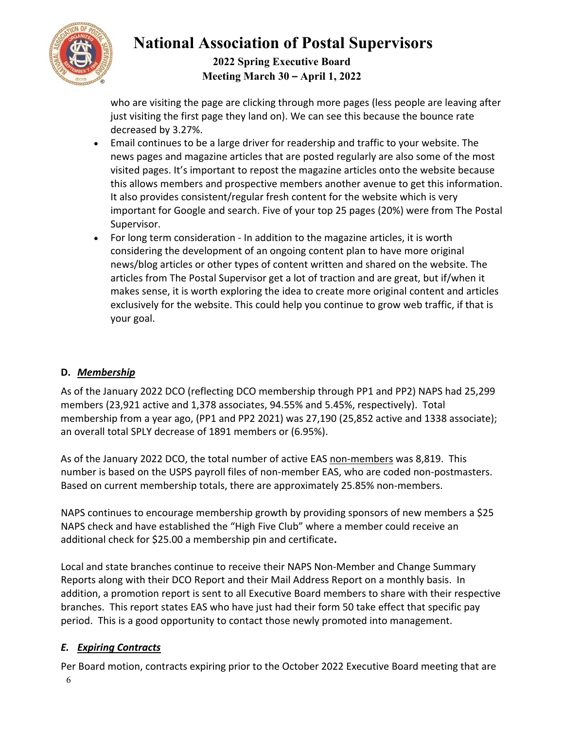

## **2022 Spring Executive Board Meeting March 30 – April 1, 2022**

who are visiting the page are clicking through more pages (less people are leaving after just visiting the first page they land on). We can see this because the bounce rate decreased by 3.27%.

- Email continues to be a large driver for readership and traffic to your website. The news pages and magazine articles that are posted regularly are also some of the most visited pages. It's important to repost the magazine articles onto the website because this allows members and prospective members another avenue to get this information. It also provides consistent/regular fresh content for the website which is very important for Google and search. Five of your top 25 pages (20%) were from The Postal Supervisor.
- For long term consideration ‐ In addition to the magazine articles, it is worth considering the development of an ongoing content plan to have more original news/blog articles or other types of content written and shared on the website. The articles from The Postal Supervisor get a lot of traction and are great, but if/when it makes sense, it is worth exploring the idea to create more original content and articles exclusively for the website. This could help you continue to grow web traffic, if that is your goal.

## **D.** *Membership*

As of the January 2022 DCO (reflecting DCO membership through PP1 and PP2) NAPS had 25,299 members (23,921 active and 1,378 associates, 94.55% and 5.45%, respectively). Total membership from a year ago, (PP1 and PP2 2021) was 27,190 (25,852 active and 1338 associate); an overall total SPLY decrease of 1891 members or (6.95%).

As of the January 2022 DCO, the total number of active EAS non-members was 8,819. This number is based on the USPS payroll files of non‐member EAS, who are coded non‐postmasters. Based on current membership totals, there are approximately 25.85% non‐members.

NAPS continues to encourage membership growth by providing sponsors of new members a \$25 NAPS check and have established the "High Five Club" where a member could receive an additional check for \$25.00 a membership pin and certificate**.**

Local and state branches continue to receive their NAPS Non‐Member and Change Summary Reports along with their DCO Report and their Mail Address Report on a monthly basis. In addition, a promotion report is sent to all Executive Board members to share with their respective branches. This report states EAS who have just had their form 50 take effect that specific pay period. This is a good opportunity to contact those newly promoted into management.

## *E. Expiring Contracts*

6 Per Board motion, contracts expiring prior to the October 2022 Executive Board meeting that are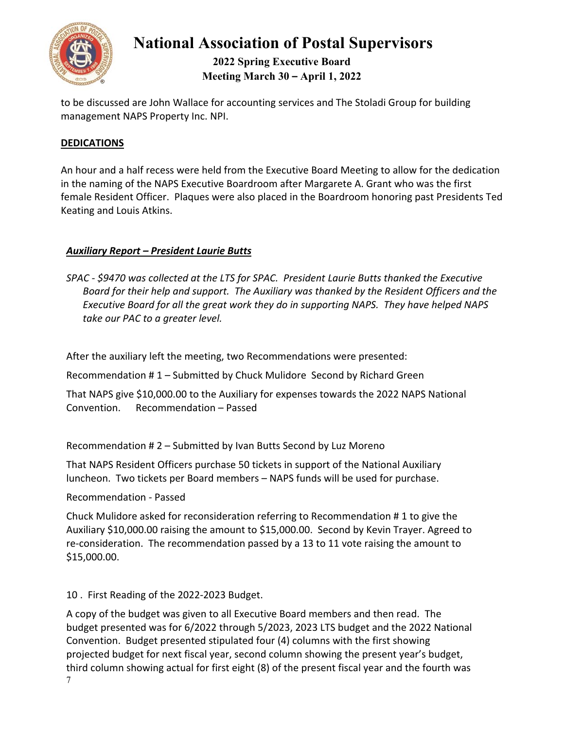

## **2022 Spring Executive Board Meeting March 30 – April 1, 2022**

to be discussed are John Wallace for accounting services and The Stoladi Group for building management NAPS Property Inc. NPI.

### **DEDICATIONS**

An hour and a half recess were held from the Executive Board Meeting to allow for the dedication in the naming of the NAPS Executive Boardroom after Margarete A. Grant who was the first female Resident Officer. Plaques were also placed in the Boardroom honoring past Presidents Ted Keating and Louis Atkins.

### *Auxiliary Report – President Laurie Butts*

*SPAC ‐ \$9470 was collected at the LTS for SPAC. President Laurie Butts thanked the Executive Board for their help and support. The Auxiliary was thanked by the Resident Officers and the Executive Board for all the great work they do in supporting NAPS. They have helped NAPS*  take our PAC to a greater level.

After the auxiliary left the meeting, two Recommendations were presented:

Recommendation # 1 – Submitted by Chuck Mulidore Second by Richard Green

That NAPS give \$10,000.00 to the Auxiliary for expenses towards the 2022 NAPS National Convention. Recommendation – Passed

Recommendation # 2 – Submitted by Ivan Butts Second by Luz Moreno

That NAPS Resident Officers purchase 50 tickets in support of the National Auxiliary luncheon. Two tickets per Board members – NAPS funds will be used for purchase.

Recommendation ‐ Passed

Chuck Mulidore asked for reconsideration referring to Recommendation # 1 to give the Auxiliary \$10,000.00 raising the amount to \$15,000.00. Second by Kevin Trayer. Agreed to re-consideration. The recommendation passed by a 13 to 11 vote raising the amount to \$15,000.00.

10 . First Reading of the 2022‐2023 Budget.

7 A copy of the budget was given to all Executive Board members and then read. The budget presented was for 6/2022 through 5/2023, 2023 LTS budget and the 2022 National Convention. Budget presented stipulated four (4) columns with the first showing projected budget for next fiscal year, second column showing the present year's budget, third column showing actual for first eight (8) of the present fiscal year and the fourth was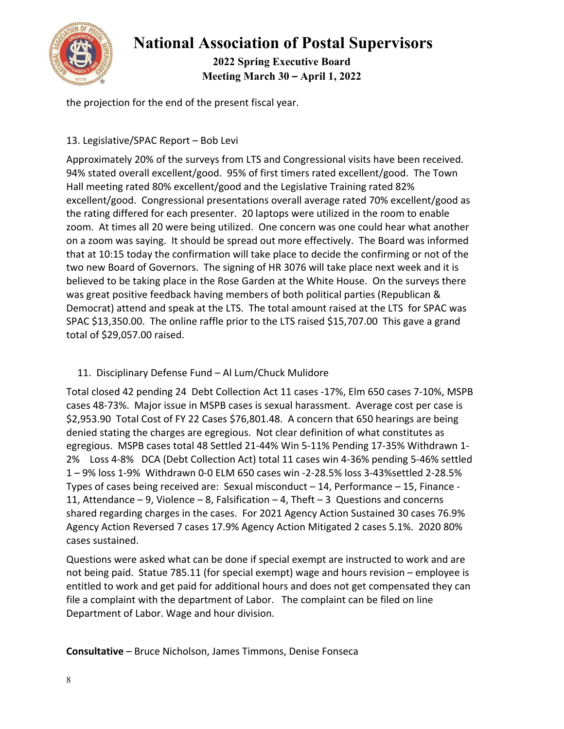

**2022 Spring Executive Board Meeting March 30 – April 1, 2022** 

the projection for the end of the present fiscal year.

### 13. Legislative/SPAC Report – Bob Levi

Approximately 20% of the surveys from LTS and Congressional visits have been received. 94% stated overall excellent/good. 95% of first timers rated excellent/good. The Town Hall meeting rated 80% excellent/good and the Legislative Training rated 82% excellent/good. Congressional presentations overall average rated 70% excellent/good as the rating differed for each presenter. 20 laptops were utilized in the room to enable zoom. At times all 20 were being utilized. One concern was one could hear what another on a zoom was saying. It should be spread out more effectively. The Board was informed that at 10:15 today the confirmation will take place to decide the confirming or not of the two new Board of Governors. The signing of HR 3076 will take place next week and it is believed to be taking place in the Rose Garden at the White House. On the surveys there was great positive feedback having members of both political parties (Republican & Democrat) attend and speak at the LTS. The total amount raised at the LTS for SPAC was SPAC \$13,350.00. The online raffle prior to the LTS raised \$15,707.00 This gave a grand total of \$29,057.00 raised.

## 11. Disciplinary Defense Fund – Al Lum/Chuck Mulidore

Total closed 42 pending 24 Debt Collection Act 11 cases ‐17%, Elm 650 cases 7‐10%, MSPB cases 48‐73%. Major issue in MSPB cases is sexual harassment. Average cost per case is \$2,953.90 Total Cost of FY 22 Cases \$76,801.48. A concern that 650 hearings are being denied stating the charges are egregious. Not clear definition of what constitutes as egregious. MSPB cases total 48 Settled 21‐44% Win 5‐11% Pending 17‐35% Withdrawn 1‐ 2% Loss 4-8% DCA (Debt Collection Act) total 11 cases win 4-36% pending 5-46% settled 1 – 9% loss 1‐9% Withdrawn 0‐0 ELM 650 cases win ‐2‐28.5% loss 3‐43%settled 2‐28.5% Types of cases being received are: Sexual misconduct – 14, Performance – 15, Finance ‐ 11, Attendance – 9, Violence – 8, Falsification – 4, Theft – 3 Questions and concerns shared regarding charges in the cases. For 2021 Agency Action Sustained 30 cases 76.9% Agency Action Reversed 7 cases 17.9% Agency Action Mitigated 2 cases 5.1%. 2020 80% cases sustained.

Questions were asked what can be done if special exempt are instructed to work and are not being paid. Statue 785.11 (for special exempt) wage and hours revision – employee is entitled to work and get paid for additional hours and does not get compensated they can file a complaint with the department of Labor. The complaint can be filed on line Department of Labor. Wage and hour division.

**Consultative** – Bruce Nicholson, James Timmons, Denise Fonseca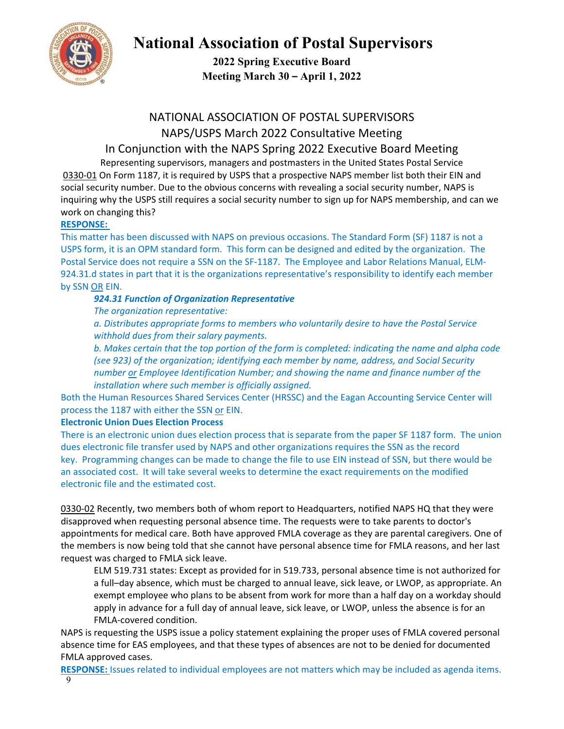

**2022 Spring Executive Board Meeting March 30 – April 1, 2022** 

## NATIONAL ASSOCIATION OF POSTAL SUPERVISORS NAPS/USPS March 2022 Consultative Meeting

# In Conjunction with the NAPS Spring 2022 Executive Board Meeting

Representing supervisors, managers and postmasters in the United States Postal Service 0330-01 On Form 1187, it is required by USPS that a prospective NAPS member list both their EIN and social security number. Due to the obvious concerns with revealing a social security number, NAPS is inquiring why the USPS still requires a social security number to sign up for NAPS membership, and can we work on changing this?

### **RESPONSE:**

This matter has been discussed with NAPS on previous occasions. The Standard Form (SF) 1187 is not a USPS form, it is an OPM standard form. This form can be designed and edited by the organization. The Postal Service does not require a SSN on the SF‐1187. The Employee and Labor Relations Manual, ELM‐ 924.31.d states in part that it is the organizations representative's responsibility to identify each member by SSN OR EIN.

### *924.31 Function of Organization Representative*

*The organization representative:* 

*a. Distributes appropriate forms to members who voluntarily desire to have the Postal Service withhold dues from their salary payments.* 

*b. Makes certain that the top portion of the form is completed: indicating the name and alpha code (see 923) of the organization; identifying each member by name, address, and Social Security number or Employee Identification Number; and showing the name and finance number of the installation where such member is officially assigned.* 

Both the Human Resources Shared Services Center (HRSSC) and the Eagan Accounting Service Center will process the 1187 with either the SSN or EIN.

#### **Electronic Union Dues Election Process**

There is an electronic union dues election process that is separate from the paper SF 1187 form. The union dues electronic file transfer used by NAPS and other organizations requires the SSN as the record key. Programming changes can be made to change the file to use EIN instead of SSN, but there would be an associated cost. It will take several weeks to determine the exact requirements on the modified electronic file and the estimated cost.

0330-02 Recently, two members both of whom report to Headquarters, notified NAPS HQ that they were disapproved when requesting personal absence time. The requests were to take parents to doctor's appointments for medical care. Both have approved FMLA coverage as they are parental caregivers. One of the members is now being told that she cannot have personal absence time for FMLA reasons, and her last request was charged to FMLA sick leave.

ELM 519.731 states: Except as provided for in 519.733, personal absence time is not authorized for a full–day absence, which must be charged to annual leave, sick leave, or LWOP, as appropriate. An exempt employee who plans to be absent from work for more than a half day on a workday should apply in advance for a full day of annual leave, sick leave, or LWOP, unless the absence is for an FMLA‐covered condition.

NAPS is requesting the USPS issue a policy statement explaining the proper uses of FMLA covered personal absence time for EAS employees, and that these types of absences are not to be denied for documented FMLA approved cases.

9 **RESPONSE:** Issues related to individual employees are not matters which may be included as agenda items.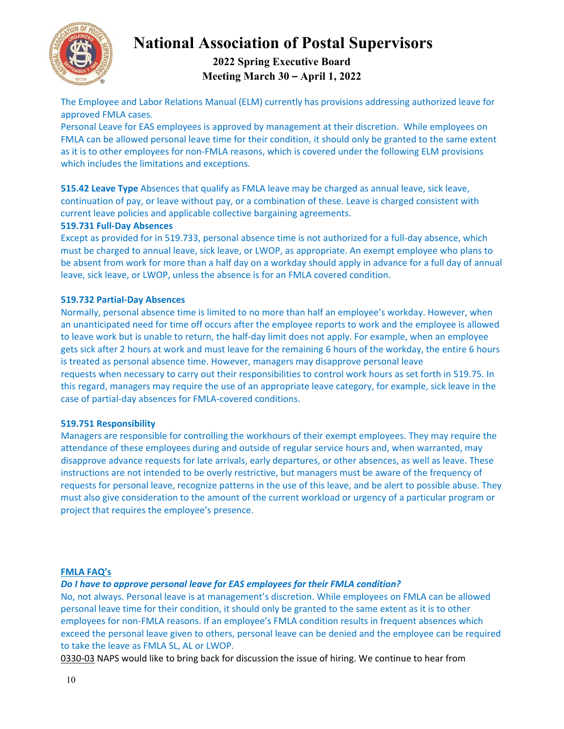

## **2022 Spring Executive Board Meeting March 30 – April 1, 2022**

The Employee and Labor Relations Manual (ELM) currently has provisions addressing authorized leave for approved FMLA cases.

Personal Leave for EAS employees is approved by management at their discretion. While employees on FMLA can be allowed personal leave time for their condition, it should only be granted to the same extent as it is to other employees for non-FMLA reasons, which is covered under the following ELM provisions which includes the limitations and exceptions.

**515.42 Leave Type** Absences that qualify as FMLA leave may be charged as annual leave, sick leave, continuation of pay, or leave without pay, or a combination of these. Leave is charged consistent with current leave policies and applicable collective bargaining agreements.

#### **519.731 Full‐Day Absences**

Except as provided for in 519.733, personal absence time is not authorized for a full-day absence, which must be charged to annual leave, sick leave, or LWOP, as appropriate. An exempt employee who plans to be absent from work for more than a half day on a workday should apply in advance for a full day of annual leave, sick leave, or LWOP, unless the absence is for an FMLA covered condition.

#### **519.732 Partial‐Day Absences**

Normally, personal absence time is limited to no more than half an employee's workday. However, when an unanticipated need for time off occurs after the employee reports to work and the employee is allowed to leave work but is unable to return, the half‐day limit does not apply. For example, when an employee gets sick after 2 hours at work and must leave for the remaining 6 hours of the workday, the entire 6 hours is treated as personal absence time. However, managers may disapprove personal leave requests when necessary to carry out their responsibilities to control work hours as set forth in 519.75. In this regard, managers may require the use of an appropriate leave category, for example, sick leave in the case of partial‐day absences for FMLA‐covered conditions.

#### **519.751 Responsibility**

Managers are responsible for controlling the workhours of their exempt employees. They may require the attendance of these employees during and outside of regular service hours and, when warranted, may disapprove advance requests for late arrivals, early departures, or other absences, as well as leave. These instructions are not intended to be overly restrictive, but managers must be aware of the frequency of requests for personal leave, recognize patterns in the use of this leave, and be alert to possible abuse. They must also give consideration to the amount of the current workload or urgency of a particular program or project that requires the employee's presence.

#### **FMLA FAQ's**

#### *Do I have to approve personal leave for EAS employees for their FMLA condition?*

No, not always. Personal leave is at management's discretion. While employees on FMLA can be allowed personal leave time for their condition, it should only be granted to the same extent as it is to other employees for non-FMLA reasons. If an employee's FMLA condition results in frequent absences which exceed the personal leave given to others, personal leave can be denied and the employee can be required to take the leave as FMLA SL, AL or LWOP.

0330-03 NAPS would like to bring back for discussion the issue of hiring. We continue to hear from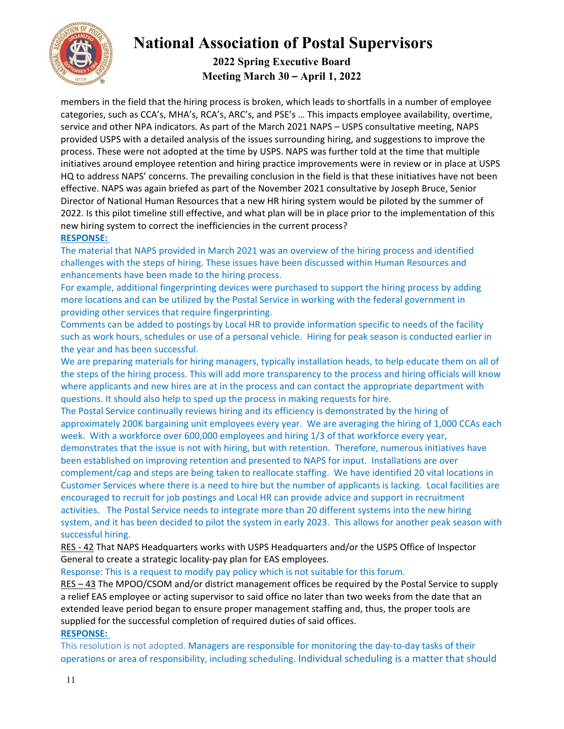

## **2022 Spring Executive Board Meeting March 30 – April 1, 2022**

members in the field that the hiring process is broken, which leads to shortfalls in a number of employee categories, such as CCA's, MHA's, RCA's, ARC's, and PSE's … This impacts employee availability, overtime, service and other NPA indicators. As part of the March 2021 NAPS – USPS consultative meeting, NAPS provided USPS with a detailed analysis of the issues surrounding hiring, and suggestions to improve the process. These were not adopted at the time by USPS. NAPS was further told at the time that multiple initiatives around employee retention and hiring practice improvements were in review or in place at USPS HQ to address NAPS' concerns. The prevailing conclusion in the field is that these initiatives have not been effective. NAPS was again briefed as part of the November 2021 consultative by Joseph Bruce, Senior Director of National Human Resources that a new HR hiring system would be piloted by the summer of 2022. Is this pilot timeline still effective, and what plan will be in place prior to the implementation of this new hiring system to correct the inefficiencies in the current process?

### **RESPONSE:**

The material that NAPS provided in March 2021 was an overview of the hiring process and identified challenges with the steps of hiring. These issues have been discussed within Human Resources and enhancements have been made to the hiring process.

For example, additional fingerprinting devices were purchased to support the hiring process by adding more locations and can be utilized by the Postal Service in working with the federal government in providing other services that require fingerprinting.

Comments can be added to postings by Local HR to provide information specific to needs of the facility such as work hours, schedules or use of a personal vehicle. Hiring for peak season is conducted earlier in the year and has been successful.

We are preparing materials for hiring managers, typically installation heads, to help educate them on all of the steps of the hiring process. This will add more transparency to the process and hiring officials will know where applicants and new hires are at in the process and can contact the appropriate department with questions. It should also help to sped up the process in making requests for hire.

The Postal Service continually reviews hiring and its efficiency is demonstrated by the hiring of approximately 200K bargaining unit employees every year. We are averaging the hiring of 1,000 CCAs each week. With a workforce over 600,000 employees and hiring 1/3 of that workforce every year,

demonstrates that the issue is not with hiring, but with retention. Therefore, numerous initiatives have been established on improving retention and presented to NAPS for input. Installations are over complement/cap and steps are being taken to reallocate staffing. We have identified 20 vital locations in Customer Services where there is a need to hire but the number of applicants is lacking. Local facilities are encouraged to recruit for job postings and Local HR can provide advice and support in recruitment activities. The Postal Service needs to integrate more than 20 different systems into the new hiring system, and it has been decided to pilot the system in early 2023. This allows for another peak season with successful hiring.

RES ‐ 42 That NAPS Headquarters works with USPS Headquarters and/or the USPS Office of Inspector General to create a strategic locality‐pay plan for EAS employees.

Response: This is a request to modify pay policy which is not suitable for this forum.

RES – 43 The MPOO/CSOM and/or district management offices be required by the Postal Service to supply a relief EAS employee or acting supervisor to said office no later than two weeks from the date that an extended leave period began to ensure proper management staffing and, thus, the proper tools are supplied for the successful completion of required duties of said offices. **RESPONSE:** 

This resolution is not adopted. Managers are responsible for monitoring the day-to-day tasks of their operations or area of responsibility, including scheduling. Individual scheduling is a matter that should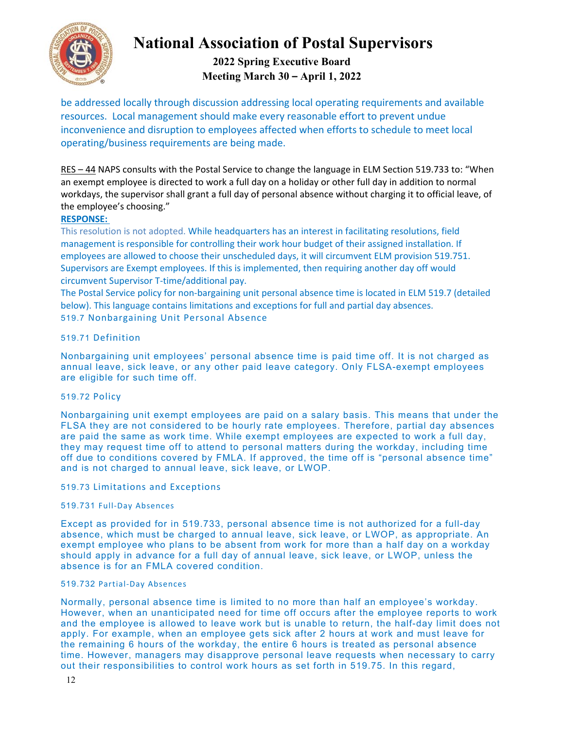

## **2022 Spring Executive Board Meeting March 30 – April 1, 2022**

be addressed locally through discussion addressing local operating requirements and available resources. Local management should make every reasonable effort to prevent undue inconvenience and disruption to employees affected when efforts to schedule to meet local operating/business requirements are being made.

RES – 44 NAPS consults with the Postal Service to change the language in ELM Section 519.733 to: "When an exempt employee is directed to work a full day on a holiday or other full day in addition to normal workdays, the supervisor shall grant a full day of personal absence without charging it to official leave, of the employee's choosing."

#### **RESPONSE:**

This resolution is not adopted. While headquarters has an interest in facilitating resolutions, field management is responsible for controlling their work hour budget of their assigned installation. If employees are allowed to choose their unscheduled days, it will circumvent ELM provision 519.751. Supervisors are Exempt employees. If this is implemented, then requiring another day off would circumvent Supervisor T‐time/additional pay.

The Postal Service policy for non-bargaining unit personal absence time is located in ELM 519.7 (detailed below). This language contains limitations and exceptions for full and partial day absences. 519.7 Nonbargaining Unit Personal Absence

#### 519.71 Definition

Nonbargaining unit employees' personal absence time is paid time off. It is not charged as annual leave, sick leave, or any other paid leave category. Only FLSA-exempt employees are eligible for such time off.

#### 519.72 Policy

Nonbargaining unit exempt employees are paid on a salary basis. This means that under the FLSA they are not considered to be hourly rate employees. Therefore, partial day absences are paid the same as work time. While exempt employees are expected to work a full day, they may request time off to attend to personal matters during the workday, including time off due to conditions covered by FMLA. If approved, the time off is "personal absence time" and is not charged to annual leave, sick leave, or LWOP.

#### 519.73 Limitations and Exceptions

#### 519.731 Full‐Day Absences

Except as provided for in 519.733, personal absence time is not authorized for a full-day absence, which must be charged to annual leave, sick leave, or LWOP, as appropriate. An exempt employee who plans to be absent from work for more than a half day on a workday should apply in advance for a full day of annual leave, sick leave, or LWOP, unless the absence is for an FMLA covered condition.

#### 519.732 Partial‐Day Absences

Normally, personal absence time is limited to no more than half an employee's workday. However, when an unanticipated need for time off occurs after the employee reports to work and the employee is allowed to leave work but is unable to return, the half-day limit does not apply. For example, when an employee gets sick after 2 hours at work and must leave for the remaining 6 hours of the workday, the entire 6 hours is treated as personal absence time. However, managers may disapprove personal leave requests when necessary to carry out their responsibilities to control work hours as set forth in 519.75. In this regard,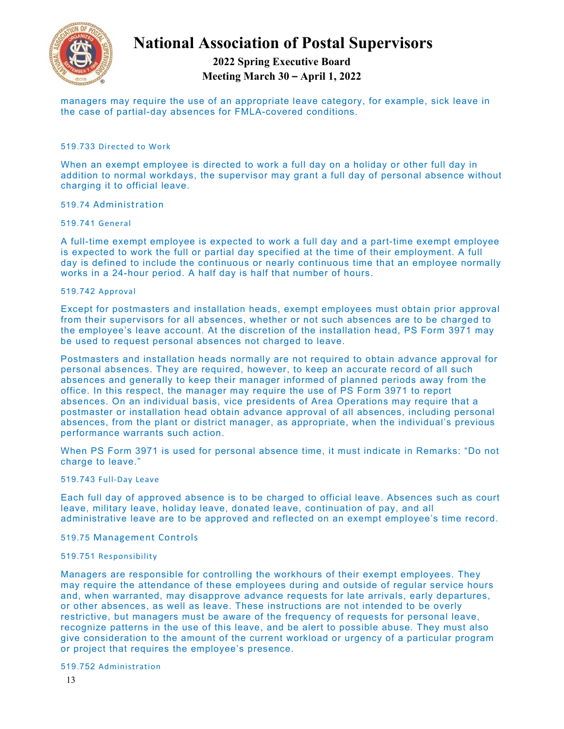

## **2022 Spring Executive Board Meeting March 30 – April 1, 2022**

managers may require the use of an appropriate leave category, for example, sick leave in the case of partial-day absences for FMLA-covered conditions.

#### 519.733 Directed to Work

When an exempt employee is directed to work a full day on a holiday or other full day in addition to normal workdays, the supervisor may grant a full day of personal absence without charging it to official leave.

#### 519.74 Administration

#### 519.741 General

A full-time exempt employee is expected to work a full day and a part-time exempt employee is expected to work the full or partial day specified at the time of their employment. A full day is defined to include the continuous or nearly continuous time that an employee normally works in a 24-hour period. A half day is half that number of hours.

#### 519.742 Approval

Except for postmasters and installation heads, exempt employees must obtain prior approval from their supervisors for all absences, whether or not such absences are to be charged to the employee's leave account. At the discretion of the installation head, PS Form 3971 may be used to request personal absences not charged to leave.

Postmasters and installation heads normally are not required to obtain advance approval for personal absences. They are required, however, to keep an accurate record of all such absences and generally to keep their manager informed of planned periods away from the office. In this respect, the manager may require the use of PS Form 3971 to report absences. On an individual basis, vice presidents of Area Operations may require that a postmaster or installation head obtain advance approval of all absences, including personal absences, from the plant or district manager, as appropriate, when the individual's previous performance warrants such action.

When PS Form 3971 is used for personal absence time, it must indicate in Remarks: "Do not charge to leave."

#### 519.743 Full‐Day Leave

Each full day of approved absence is to be charged to official leave. Absences such as court leave, military leave, holiday leave, donated leave, continuation of pay, and all administrative leave are to be approved and reflected on an exempt employee's time record.

#### 519.75 Management Controls

#### 519.751 Responsibility

Managers are responsible for controlling the workhours of their exempt employees. They may require the attendance of these employees during and outside of regular service hours and, when warranted, may disapprove advance requests for late arrivals, early departures, or other absences, as well as leave. These instructions are not intended to be overly restrictive, but managers must be aware of the frequency of requests for personal leave, recognize patterns in the use of this leave, and be alert to possible abuse. They must also give consideration to the amount of the current workload or urgency of a particular program or project that requires the employee's presence.

#### 519.752 Administration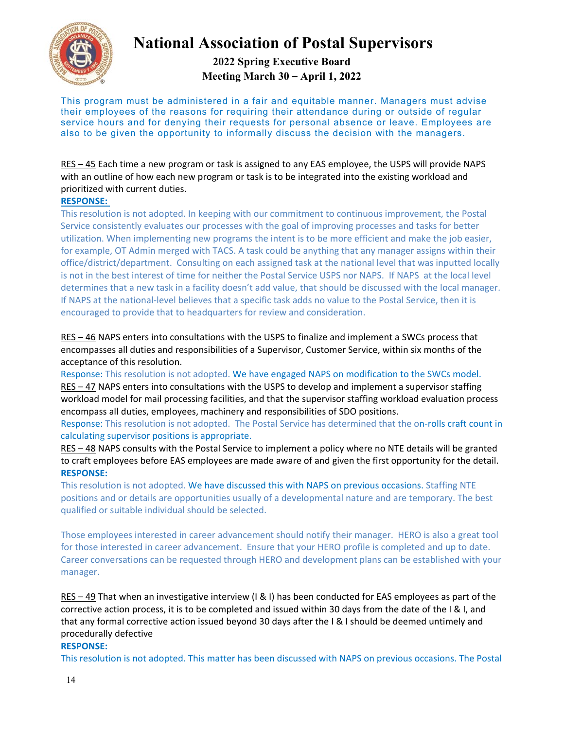

**2022 Spring Executive Board Meeting March 30 – April 1, 2022** 

This program must be administered in a fair and equitable manner. Managers must advise their employees of the reasons for requiring their attendance during or outside of regular service hours and for denying their requests for personal absence or leave. Employees are also to be given the opportunity to informally discuss the decision with the managers.

RES – 45 Each time a new program or task is assigned to any EAS employee, the USPS will provide NAPS with an outline of how each new program or task is to be integrated into the existing workload and prioritized with current duties.

#### **RESPONSE:**

This resolution is not adopted. In keeping with our commitment to continuous improvement, the Postal Service consistently evaluates our processes with the goal of improving processes and tasks for better utilization. When implementing new programs the intent is to be more efficient and make the job easier, for example, OT Admin merged with TACS. A task could be anything that any manager assigns within their office/district/department. Consulting on each assigned task at the national level that was inputted locally is not in the best interest of time for neither the Postal Service USPS nor NAPS. If NAPS at the local level determines that a new task in a facility doesn't add value, that should be discussed with the local manager. If NAPS at the national‐level believes that a specific task adds no value to the Postal Service, then it is encouraged to provide that to headquarters for review and consideration.

RES – 46 NAPS enters into consultations with the USPS to finalize and implement a SWCs process that encompasses all duties and responsibilities of a Supervisor, Customer Service, within six months of the acceptance of this resolution.

Response: This resolution is not adopted. We have engaged NAPS on modification to the SWCs model. RES – 47 NAPS enters into consultations with the USPS to develop and implement a supervisor staffing workload model for mail processing facilities, and that the supervisor staffing workload evaluation process encompass all duties, employees, machinery and responsibilities of SDO positions.

Response: This resolution is not adopted. The Postal Service has determined that the on-rolls craft count in calculating supervisor positions is appropriate.

RES – 48 NAPS consults with the Postal Service to implement a policy where no NTE details will be granted to craft employees before EAS employees are made aware of and given the first opportunity for the detail. **RESPONSE:** 

This resolution is not adopted. We have discussed this with NAPS on previous occasions. Staffing NTE positions and or details are opportunities usually of a developmental nature and are temporary. The best qualified or suitable individual should be selected.

Those employees interested in career advancement should notify their manager. HERO is also a great tool for those interested in career advancement. Ensure that your HERO profile is completed and up to date. Career conversations can be requested through HERO and development plans can be established with your manager.

RES – 49 That when an investigative interview (I & I) has been conducted for EAS employees as part of the corrective action process, it is to be completed and issued within 30 days from the date of the I & I, and that any formal corrective action issued beyond 30 days after the I & I should be deemed untimely and procedurally defective

#### **RESPONSE:**

This resolution is not adopted. This matter has been discussed with NAPS on previous occasions. The Postal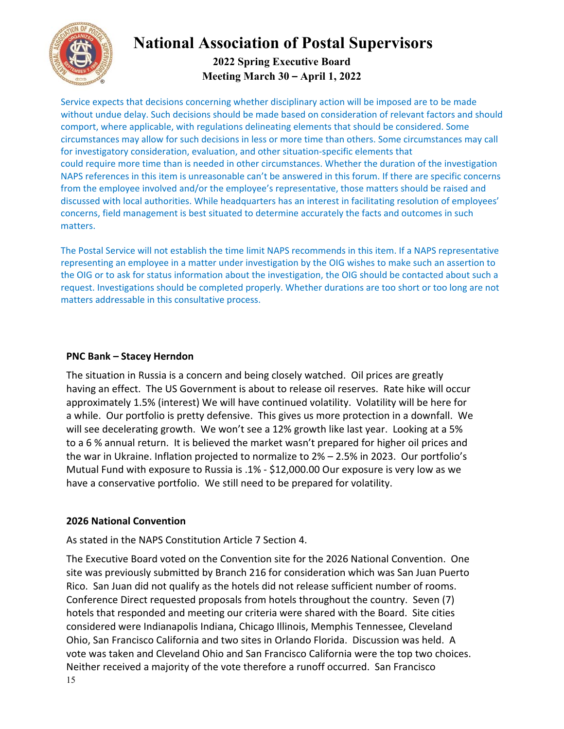

## **2022 Spring Executive Board Meeting March 30 – April 1, 2022**

Service expects that decisions concerning whether disciplinary action will be imposed are to be made without undue delay. Such decisions should be made based on consideration of relevant factors and should comport, where applicable, with regulations delineating elements that should be considered. Some circumstances may allow for such decisions in less or more time than others. Some circumstances may call for investigatory consideration, evaluation, and other situation-specific elements that could require more time than is needed in other circumstances. Whether the duration of the investigation NAPS references in this item is unreasonable can't be answered in this forum. If there are specific concerns from the employee involved and/or the employee's representative, those matters should be raised and discussed with local authorities. While headquarters has an interest in facilitating resolution of employees' concerns, field management is best situated to determine accurately the facts and outcomes in such matters.

The Postal Service will not establish the time limit NAPS recommends in this item. If a NAPS representative representing an employee in a matter under investigation by the OIG wishes to make such an assertion to the OIG or to ask for status information about the investigation, the OIG should be contacted about such a request. Investigations should be completed properly. Whether durations are too short or too long are not matters addressable in this consultative process.

#### **PNC Bank – Stacey Herndon**

The situation in Russia is a concern and being closely watched. Oil prices are greatly having an effect. The US Government is about to release oil reserves. Rate hike will occur approximately 1.5% (interest) We will have continued volatility. Volatility will be here for a while. Our portfolio is pretty defensive. This gives us more protection in a downfall. We will see decelerating growth. We won't see a 12% growth like last year. Looking at a 5% to a 6 % annual return. It is believed the market wasn't prepared for higher oil prices and the war in Ukraine. Inflation projected to normalize to 2% – 2.5% in 2023. Our portfolio's Mutual Fund with exposure to Russia is .1% ‐ \$12,000.00 Our exposure is very low as we have a conservative portfolio. We still need to be prepared for volatility.

### **2026 National Convention**

As stated in the NAPS Constitution Article 7 Section 4.

15 The Executive Board voted on the Convention site for the 2026 National Convention. One site was previously submitted by Branch 216 for consideration which was San Juan Puerto Rico. San Juan did not qualify as the hotels did not release sufficient number of rooms. Conference Direct requested proposals from hotels throughout the country. Seven (7) hotels that responded and meeting our criteria were shared with the Board. Site cities considered were Indianapolis Indiana, Chicago Illinois, Memphis Tennessee, Cleveland Ohio, San Francisco California and two sites in Orlando Florida. Discussion was held. A vote was taken and Cleveland Ohio and San Francisco California were the top two choices. Neither received a majority of the vote therefore a runoff occurred. San Francisco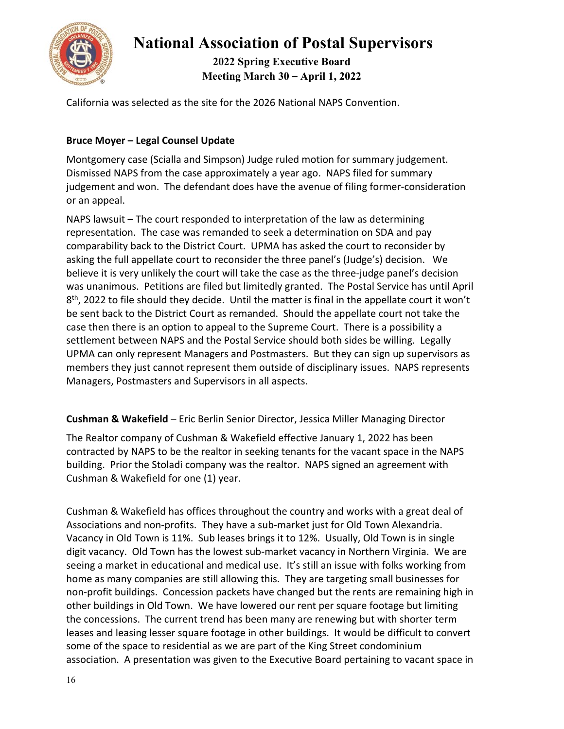

**2022 Spring Executive Board Meeting March 30 – April 1, 2022** 

California was selected as the site for the 2026 National NAPS Convention.

### **Bruce Moyer – Legal Counsel Update**

Montgomery case (Scialla and Simpson) Judge ruled motion for summary judgement. Dismissed NAPS from the case approximately a year ago. NAPS filed for summary judgement and won. The defendant does have the avenue of filing former-consideration or an appeal.

NAPS lawsuit – The court responded to interpretation of the law as determining representation. The case was remanded to seek a determination on SDA and pay comparability back to the District Court. UPMA has asked the court to reconsider by asking the full appellate court to reconsider the three panel's (Judge's) decision. We believe it is very unlikely the court will take the case as the three‐judge panel's decision was unanimous. Petitions are filed but limitedly granted. The Postal Service has until April 8<sup>th</sup>, 2022 to file should they decide. Until the matter is final in the appellate court it won't be sent back to the District Court as remanded. Should the appellate court not take the case then there is an option to appeal to the Supreme Court. There is a possibility a settlement between NAPS and the Postal Service should both sides be willing. Legally UPMA can only represent Managers and Postmasters. But they can sign up supervisors as members they just cannot represent them outside of disciplinary issues. NAPS represents Managers, Postmasters and Supervisors in all aspects.

### **Cushman & Wakefield** – Eric Berlin Senior Director, Jessica Miller Managing Director

The Realtor company of Cushman & Wakefield effective January 1, 2022 has been contracted by NAPS to be the realtor in seeking tenants for the vacant space in the NAPS building. Prior the Stoladi company was the realtor. NAPS signed an agreement with Cushman & Wakefield for one (1) year.

Cushman & Wakefield has offices throughout the country and works with a great deal of Associations and non‐profits. They have a sub‐market just for Old Town Alexandria. Vacancy in Old Town is 11%. Sub leases brings it to 12%. Usually, Old Town is in single digit vacancy. Old Town has the lowest sub‐market vacancy in Northern Virginia. We are seeing a market in educational and medical use. It's still an issue with folks working from home as many companies are still allowing this. They are targeting small businesses for non‐profit buildings. Concession packets have changed but the rents are remaining high in other buildings in Old Town. We have lowered our rent per square footage but limiting the concessions. The current trend has been many are renewing but with shorter term leases and leasing lesser square footage in other buildings. It would be difficult to convert some of the space to residential as we are part of the King Street condominium association. A presentation was given to the Executive Board pertaining to vacant space in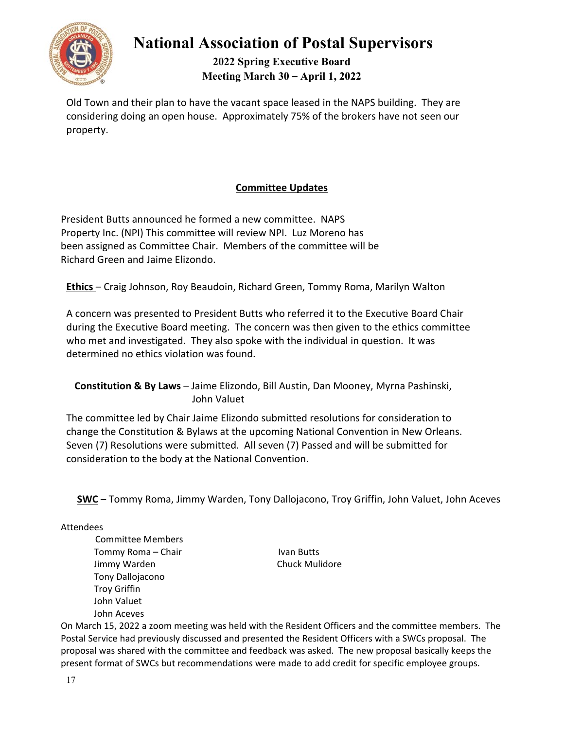

**2022 Spring Executive Board Meeting March 30 – April 1, 2022** 

Old Town and their plan to have the vacant space leased in the NAPS building. They are considering doing an open house. Approximately 75% of the brokers have not seen our property.

## **Committee Updates**

President Butts announced he formed a new committee. NAPS Property Inc. (NPI) This committee will review NPI. Luz Moreno has been assigned as Committee Chair. Members of the committee will be Richard Green and Jaime Elizondo.

**Ethics** – Craig Johnson, Roy Beaudoin, Richard Green, Tommy Roma, Marilyn Walton

A concern was presented to President Butts who referred it to the Executive Board Chair during the Executive Board meeting. The concern was then given to the ethics committee who met and investigated. They also spoke with the individual in question. It was determined no ethics violation was found.

**Constitution & By Laws** – Jaime Elizondo, Bill Austin, Dan Mooney, Myrna Pashinski, John Valuet

The committee led by Chair Jaime Elizondo submitted resolutions for consideration to change the Constitution & Bylaws at the upcoming National Convention in New Orleans. Seven (7) Resolutions were submitted. All seven (7) Passed and will be submitted for consideration to the body at the National Convention.

**SWC** – Tommy Roma, Jimmy Warden, Tony Dallojacono, Troy Griffin, John Valuet, John Aceves

Attendees

 Committee Members Tommy Roma – Chair **Ivan Butts** Jimmy Warden Chuck Mulidore Tony Dallojacono Troy Griffin John Valuet John Aceves

On March 15, 2022 a zoom meeting was held with the Resident Officers and the committee members. The Postal Service had previously discussed and presented the Resident Officers with a SWCs proposal. The proposal was shared with the committee and feedback was asked. The new proposal basically keeps the present format of SWCs but recommendations were made to add credit for specific employee groups.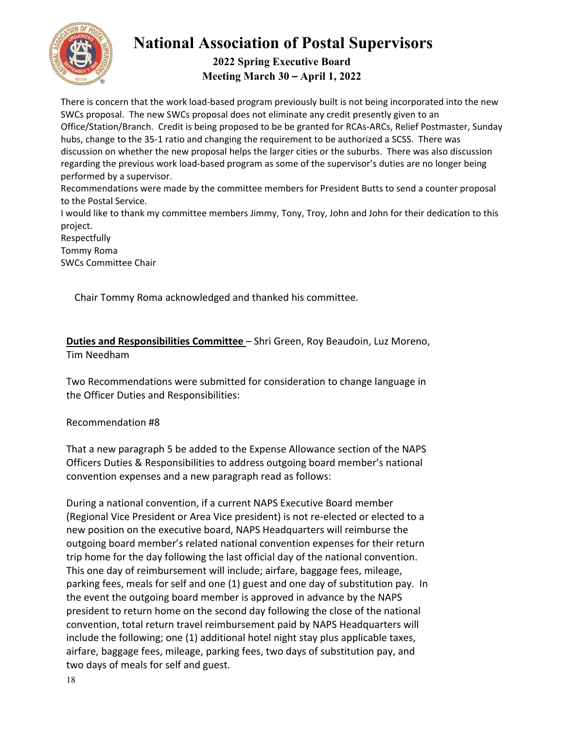

## **2022 Spring Executive Board Meeting March 30 – April 1, 2022**

There is concern that the work load‐based program previously built is not being incorporated into the new SWCs proposal. The new SWCs proposal does not eliminate any credit presently given to an Office/Station/Branch. Credit is being proposed to be be granted for RCAs‐ARCs, Relief Postmaster, Sunday hubs, change to the 35-1 ratio and changing the requirement to be authorized a SCSS. There was discussion on whether the new proposal helps the larger cities or the suburbs. There was also discussion regarding the previous work load‐based program as some of the supervisor's duties are no longer being performed by a supervisor.

Recommendations were made by the committee members for President Butts to send a counter proposal to the Postal Service.

I would like to thank my committee members Jimmy, Tony, Troy, John and John for their dedication to this project.

Respectfully Tommy Roma SWCs Committee Chair

Chair Tommy Roma acknowledged and thanked his committee.

**Duties and Responsibilities Committee** – Shri Green, Roy Beaudoin, Luz Moreno, Tim Needham

Two Recommendations were submitted for consideration to change language in the Officer Duties and Responsibilities:

## Recommendation #8

That a new paragraph 5 be added to the Expense Allowance section of the NAPS Officers Duties & Responsibilities to address outgoing board member's national convention expenses and a new paragraph read as follows:

During a national convention, if a current NAPS Executive Board member (Regional Vice President or Area Vice president) is not re‐elected or elected to a new position on the executive board, NAPS Headquarters will reimburse the outgoing board member's related national convention expenses for their return trip home for the day following the last official day of the national convention. This one day of reimbursement will include; airfare, baggage fees, mileage, parking fees, meals for self and one (1) guest and one day of substitution pay. In the event the outgoing board member is approved in advance by the NAPS president to return home on the second day following the close of the national convention, total return travel reimbursement paid by NAPS Headquarters will include the following; one (1) additional hotel night stay plus applicable taxes, airfare, baggage fees, mileage, parking fees, two days of substitution pay, and two days of meals for self and guest.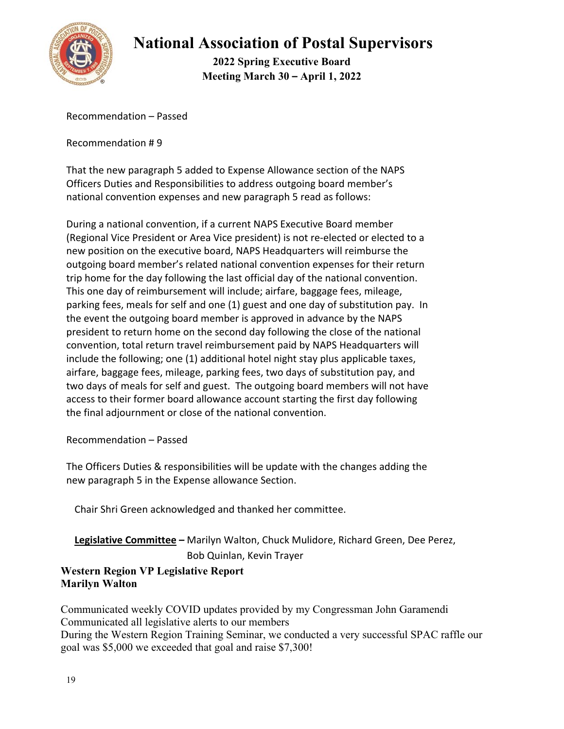

**2022 Spring Executive Board Meeting March 30 – April 1, 2022** 

Recommendation – Passed

Recommendation # 9

That the new paragraph 5 added to Expense Allowance section of the NAPS Officers Duties and Responsibilities to address outgoing board member's national convention expenses and new paragraph 5 read as follows:

During a national convention, if a current NAPS Executive Board member (Regional Vice President or Area Vice president) is not re‐elected or elected to a new position on the executive board, NAPS Headquarters will reimburse the outgoing board member's related national convention expenses for their return trip home for the day following the last official day of the national convention. This one day of reimbursement will include; airfare, baggage fees, mileage, parking fees, meals for self and one (1) guest and one day of substitution pay. In the event the outgoing board member is approved in advance by the NAPS president to return home on the second day following the close of the national convention, total return travel reimbursement paid by NAPS Headquarters will include the following; one (1) additional hotel night stay plus applicable taxes, airfare, baggage fees, mileage, parking fees, two days of substitution pay, and two days of meals for self and guest. The outgoing board members will not have access to their former board allowance account starting the first day following the final adjournment or close of the national convention.

Recommendation – Passed

The Officers Duties & responsibilities will be update with the changes adding the new paragraph 5 in the Expense allowance Section.

Chair Shri Green acknowledged and thanked her committee.

**Legislative Committee –** Marilyn Walton, Chuck Mulidore, Richard Green, Dee Perez, Bob Quinlan, Kevin Trayer

## **Western Region VP Legislative Report Marilyn Walton**

Communicated weekly COVID updates provided by my Congressman John Garamendi Communicated all legislative alerts to our members During the Western Region Training Seminar, we conducted a very successful SPAC raffle our goal was \$5,000 we exceeded that goal and raise \$7,300!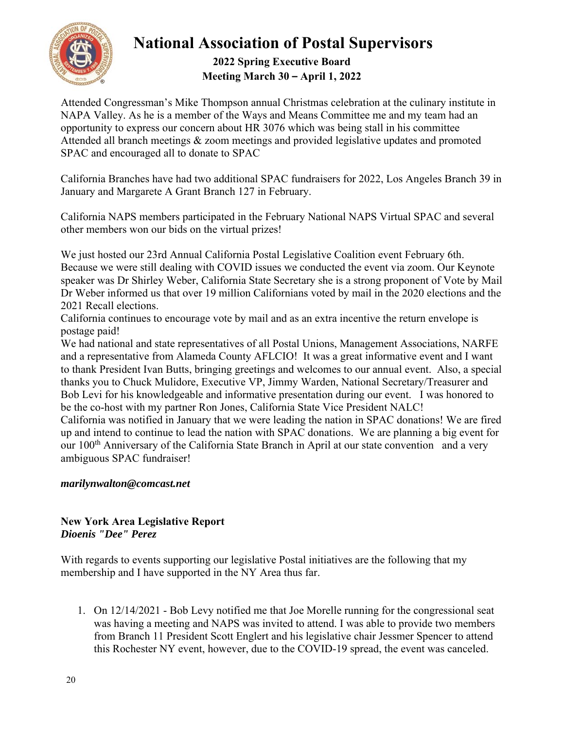

## **2022 Spring Executive Board Meeting March 30 – April 1, 2022**

Attended Congressman's Mike Thompson annual Christmas celebration at the culinary institute in NAPA Valley. As he is a member of the Ways and Means Committee me and my team had an opportunity to express our concern about HR 3076 which was being stall in his committee Attended all branch meetings & zoom meetings and provided legislative updates and promoted SPAC and encouraged all to donate to SPAC

California Branches have had two additional SPAC fundraisers for 2022, Los Angeles Branch 39 in January and Margarete A Grant Branch 127 in February.

California NAPS members participated in the February National NAPS Virtual SPAC and several other members won our bids on the virtual prizes!

We just hosted our 23rd Annual California Postal Legislative Coalition event February 6th. Because we were still dealing with COVID issues we conducted the event via zoom. Our Keynote speaker was Dr Shirley Weber, California State Secretary she is a strong proponent of Vote by Mail Dr Weber informed us that over 19 million Californians voted by mail in the 2020 elections and the 2021 Recall elections.

California continues to encourage vote by mail and as an extra incentive the return envelope is postage paid!

We had national and state representatives of all Postal Unions, Management Associations, NARFE and a representative from Alameda County AFLCIO! It was a great informative event and I want to thank President Ivan Butts, bringing greetings and welcomes to our annual event. Also, a special thanks you to Chuck Mulidore, Executive VP, Jimmy Warden, National Secretary/Treasurer and Bob Levi for his knowledgeable and informative presentation during our event. I was honored to be the co-host with my partner Ron Jones, California State Vice President NALC!

California was notified in January that we were leading the nation in SPAC donations! We are fired up and intend to continue to lead the nation with SPAC donations. We are planning a big event for our 100<sup>th</sup> Anniversary of the California State Branch in April at our state convention and a very ambiguous SPAC fundraiser!

## *marilynwalton@comcast.net*

### **New York Area Legislative Report**  *Dioenis "Dee" Perez*

With regards to events supporting our legislative Postal initiatives are the following that my membership and I have supported in the NY Area thus far.

1. On 12/14/2021 - Bob Levy notified me that Joe Morelle running for the congressional seat was having a meeting and NAPS was invited to attend. I was able to provide two members from Branch 11 President Scott Englert and his legislative chair Jessmer Spencer to attend this Rochester NY event, however, due to the COVID-19 spread, the event was canceled.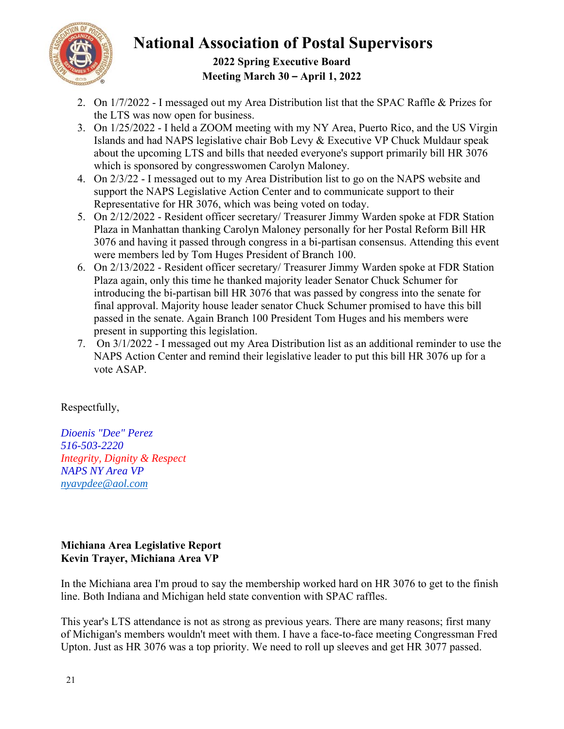

## **2022 Spring Executive Board Meeting March 30 – April 1, 2022**

- 2. On 1/7/2022 I messaged out my Area Distribution list that the SPAC Raffle & Prizes for the LTS was now open for business.
- 3. On 1/25/2022 I held a ZOOM meeting with my NY Area, Puerto Rico, and the US Virgin Islands and had NAPS legislative chair Bob Levy & Executive VP Chuck Muldaur speak about the upcoming LTS and bills that needed everyone's support primarily bill HR 3076 which is sponsored by congresswomen Carolyn Maloney.
- 4. On 2/3/22 I messaged out to my Area Distribution list to go on the NAPS website and support the NAPS Legislative Action Center and to communicate support to their Representative for HR 3076, which was being voted on today.
- 5. On 2/12/2022 Resident officer secretary/ Treasurer Jimmy Warden spoke at FDR Station Plaza in Manhattan thanking Carolyn Maloney personally for her Postal Reform Bill HR 3076 and having it passed through congress in a bi-partisan consensus. Attending this event were members led by Tom Huges President of Branch 100.
- 6. On 2/13/2022 Resident officer secretary/ Treasurer Jimmy Warden spoke at FDR Station Plaza again, only this time he thanked majority leader Senator Chuck Schumer for introducing the bi-partisan bill HR 3076 that was passed by congress into the senate for final approval. Majority house leader senator Chuck Schumer promised to have this bill passed in the senate. Again Branch 100 President Tom Huges and his members were present in supporting this legislation.
- 7. On 3/1/2022 I messaged out my Area Distribution list as an additional reminder to use the NAPS Action Center and remind their legislative leader to put this bill HR 3076 up for a vote ASAP.

## Respectfully,

*Dioenis "Dee" Perez 516-503-2220 Integrity, Dignity & Respect NAPS NY Area VP nyavpdee@aol.com*

## **Michiana Area Legislative Report Kevin Trayer, Michiana Area VP**

In the Michiana area I'm proud to say the membership worked hard on HR 3076 to get to the finish line. Both Indiana and Michigan held state convention with SPAC raffles.

This year's LTS attendance is not as strong as previous years. There are many reasons; first many of Michigan's members wouldn't meet with them. I have a face-to-face meeting Congressman Fred Upton. Just as HR 3076 was a top priority. We need to roll up sleeves and get HR 3077 passed.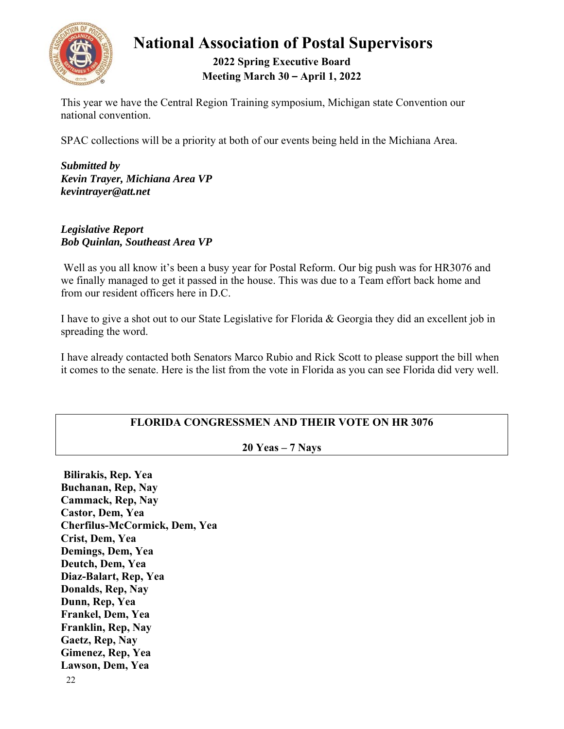

## **2022 Spring Executive Board Meeting March 30 – April 1, 2022**

This year we have the Central Region Training symposium, Michigan state Convention our national convention.

SPAC collections will be a priority at both of our events being held in the Michiana Area.

*Submitted by Kevin Trayer, Michiana Area VP kevintrayer@att.net* 

*Legislative Report Bob Quinlan, Southeast Area VP* 

 Well as you all know it's been a busy year for Postal Reform. Our big push was for HR3076 and we finally managed to get it passed in the house. This was due to a Team effort back home and from our resident officers here in D.C.

I have to give a shot out to our State Legislative for Florida & Georgia they did an excellent job in spreading the word.

I have already contacted both Senators Marco Rubio and Rick Scott to please support the bill when it comes to the senate. Here is the list from the vote in Florida as you can see Florida did very well.

## **FLORIDA CONGRESSMEN AND THEIR VOTE ON HR 3076**

## **20 Yeas – 7 Nays**

**Bilirakis, Rep. Yea Buchanan, Rep, Nay Cammack, Rep, Nay Castor, Dem, Yea Cherfilus-McCormick, Dem, Yea Crist, Dem, Yea Demings, Dem, Yea Deutch, Dem, Yea Diaz-Balart, Rep, Yea Donalds, Rep, Nay Dunn, Rep, Yea Frankel, Dem, Yea Franklin, Rep, Nay Gaetz, Rep, Nay Gimenez, Rep, Yea Lawson, Dem, Yea**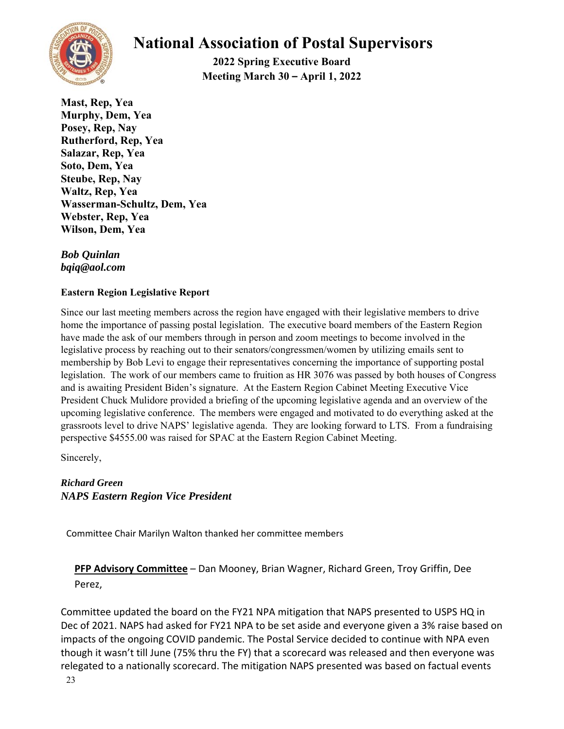

**2022 Spring Executive Board Meeting March 30 – April 1, 2022** 

**Mast, Rep, Yea Murphy, Dem, Yea Posey, Rep, Nay Rutherford, Rep, Yea Salazar, Rep, Yea Soto, Dem, Yea Steube, Rep, Nay Waltz, Rep, Yea Wasserman-Schultz, Dem, Yea Webster, Rep, Yea Wilson, Dem, Yea** 

*Bob Quinlan bqiq@aol.com*

### **Eastern Region Legislative Report**

Since our last meeting members across the region have engaged with their legislative members to drive home the importance of passing postal legislation. The executive board members of the Eastern Region have made the ask of our members through in person and zoom meetings to become involved in the legislative process by reaching out to their senators/congressmen/women by utilizing emails sent to membership by Bob Levi to engage their representatives concerning the importance of supporting postal legislation. The work of our members came to fruition as HR 3076 was passed by both houses of Congress and is awaiting President Biden's signature. At the Eastern Region Cabinet Meeting Executive Vice President Chuck Mulidore provided a briefing of the upcoming legislative agenda and an overview of the upcoming legislative conference. The members were engaged and motivated to do everything asked at the grassroots level to drive NAPS' legislative agenda. They are looking forward to LTS. From a fundraising perspective \$4555.00 was raised for SPAC at the Eastern Region Cabinet Meeting.

Sincerely,

### *Richard Green NAPS Eastern Region Vice President*

Committee Chair Marilyn Walton thanked her committee members

## **PFP Advisory Committee** – Dan Mooney, Brian Wagner, Richard Green, Troy Griffin, Dee Perez,

Committee updated the board on the FY21 NPA mitigation that NAPS presented to USPS HQ in Dec of 2021. NAPS had asked for FY21 NPA to be set aside and everyone given a 3% raise based on impacts of the ongoing COVID pandemic. The Postal Service decided to continue with NPA even though it wasn't till June (75% thru the FY) that a scorecard was released and then everyone was relegated to a nationally scorecard. The mitigation NAPS presented was based on factual events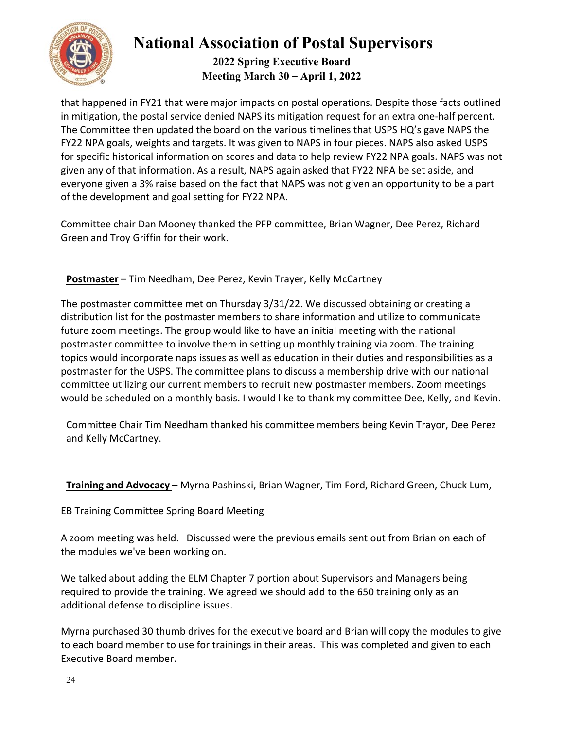

**2022 Spring Executive Board Meeting March 30 – April 1, 2022** 

that happened in FY21 that were major impacts on postal operations. Despite those facts outlined in mitigation, the postal service denied NAPS its mitigation request for an extra one‐half percent. The Committee then updated the board on the various timelines that USPS HQ's gave NAPS the FY22 NPA goals, weights and targets. It was given to NAPS in four pieces. NAPS also asked USPS for specific historical information on scores and data to help review FY22 NPA goals. NAPS was not given any of that information. As a result, NAPS again asked that FY22 NPA be set aside, and everyone given a 3% raise based on the fact that NAPS was not given an opportunity to be a part of the development and goal setting for FY22 NPA.

Committee chair Dan Mooney thanked the PFP committee, Brian Wagner, Dee Perez, Richard Green and Troy Griffin for their work.

**Postmaster** – Tim Needham, Dee Perez, Kevin Trayer, Kelly McCartney

The postmaster committee met on Thursday 3/31/22. We discussed obtaining or creating a distribution list for the postmaster members to share information and utilize to communicate future zoom meetings. The group would like to have an initial meeting with the national postmaster committee to involve them in setting up monthly training via zoom. The training topics would incorporate naps issues as well as education in their duties and responsibilities as a postmaster for the USPS. The committee plans to discuss a membership drive with our national committee utilizing our current members to recruit new postmaster members. Zoom meetings would be scheduled on a monthly basis. I would like to thank my committee Dee, Kelly, and Kevin.

Committee Chair Tim Needham thanked his committee members being Kevin Trayor, Dee Perez and Kelly McCartney.

**Training and Advocacy** – Myrna Pashinski, Brian Wagner, Tim Ford, Richard Green, Chuck Lum,

EB Training Committee Spring Board Meeting

A zoom meeting was held. Discussed were the previous emails sent out from Brian on each of the modules we've been working on.

We talked about adding the ELM Chapter 7 portion about Supervisors and Managers being required to provide the training. We agreed we should add to the 650 training only as an additional defense to discipline issues.

Myrna purchased 30 thumb drives for the executive board and Brian will copy the modules to give to each board member to use for trainings in their areas. This was completed and given to each Executive Board member.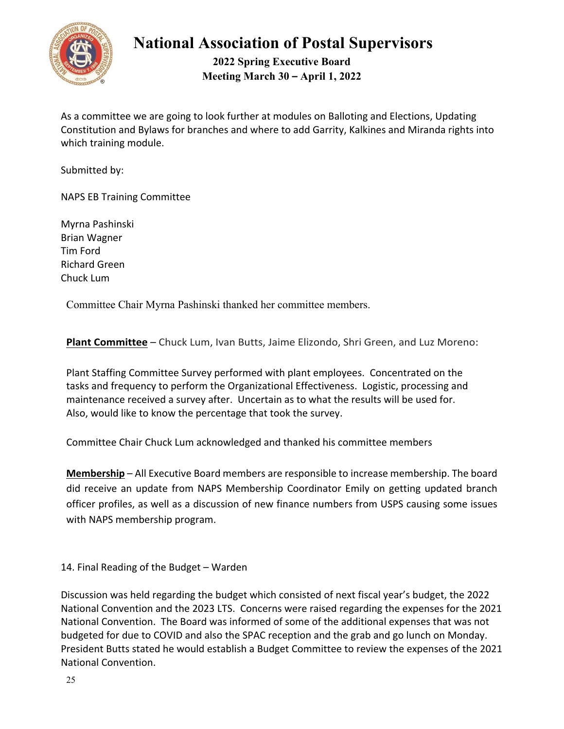

**2022 Spring Executive Board Meeting March 30 – April 1, 2022** 

As a committee we are going to look further at modules on Balloting and Elections, Updating Constitution and Bylaws for branches and where to add Garrity, Kalkines and Miranda rights into which training module.

Submitted by:

NAPS EB Training Committee

Myrna Pashinski Brian Wagner Tim Ford Richard Green Chuck Lum

Committee Chair Myrna Pashinski thanked her committee members.

**Plant Committee** – Chuck Lum, Ivan Butts, Jaime Elizondo, Shri Green, and Luz Moreno:

Plant Staffing Committee Survey performed with plant employees. Concentrated on the tasks and frequency to perform the Organizational Effectiveness. Logistic, processing and maintenance received a survey after. Uncertain as to what the results will be used for. Also, would like to know the percentage that took the survey.

Committee Chair Chuck Lum acknowledged and thanked his committee members

**Membership** – All Executive Board members are responsible to increase membership. The board did receive an update from NAPS Membership Coordinator Emily on getting updated branch officer profiles, as well as a discussion of new finance numbers from USPS causing some issues with NAPS membership program.

14. Final Reading of the Budget – Warden

Discussion was held regarding the budget which consisted of next fiscal year's budget, the 2022 National Convention and the 2023 LTS. Concerns were raised regarding the expenses for the 2021 National Convention. The Board was informed of some of the additional expenses that was not budgeted for due to COVID and also the SPAC reception and the grab and go lunch on Monday. President Butts stated he would establish a Budget Committee to review the expenses of the 2021 National Convention.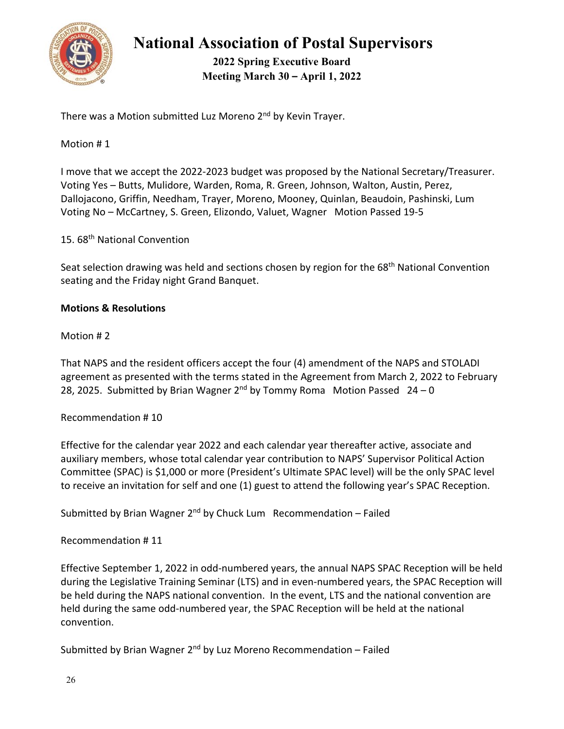

**2022 Spring Executive Board Meeting March 30 – April 1, 2022** 

There was a Motion submitted Luz Moreno 2<sup>nd</sup> by Kevin Trayer.

### Motion # 1

I move that we accept the 2022‐2023 budget was proposed by the National Secretary/Treasurer. Voting Yes – Butts, Mulidore, Warden, Roma, R. Green, Johnson, Walton, Austin, Perez, Dallojacono, Griffin, Needham, Trayer, Moreno, Mooney, Quinlan, Beaudoin, Pashinski, Lum Voting No – McCartney, S. Green, Elizondo, Valuet, Wagner Motion Passed 19‐5

15. 68th National Convention

Seat selection drawing was held and sections chosen by region for the 68<sup>th</sup> National Convention seating and the Friday night Grand Banquet.

### **Motions & Resolutions**

Motion # 2

That NAPS and the resident officers accept the four (4) amendment of the NAPS and STOLADI agreement as presented with the terms stated in the Agreement from March 2, 2022 to February 28, 2025. Submitted by Brian Wagner  $2^{nd}$  by Tommy Roma Motion Passed  $24 - 0$ 

### Recommendation # 10

Effective for the calendar year 2022 and each calendar year thereafter active, associate and auxiliary members, whose total calendar year contribution to NAPS' Supervisor Political Action Committee (SPAC) is \$1,000 or more (President's Ultimate SPAC level) will be the only SPAC level to receive an invitation for self and one (1) guest to attend the following year's SPAC Reception.

Submitted by Brian Wagner 2<sup>nd</sup> by Chuck Lum Recommendation – Failed

Recommendation # 11

Effective September 1, 2022 in odd‐numbered years, the annual NAPS SPAC Reception will be held during the Legislative Training Seminar (LTS) and in even‐numbered years, the SPAC Reception will be held during the NAPS national convention. In the event, LTS and the national convention are held during the same odd-numbered year, the SPAC Reception will be held at the national convention.

Submitted by Brian Wagner  $2^{nd}$  by Luz Moreno Recommendation – Failed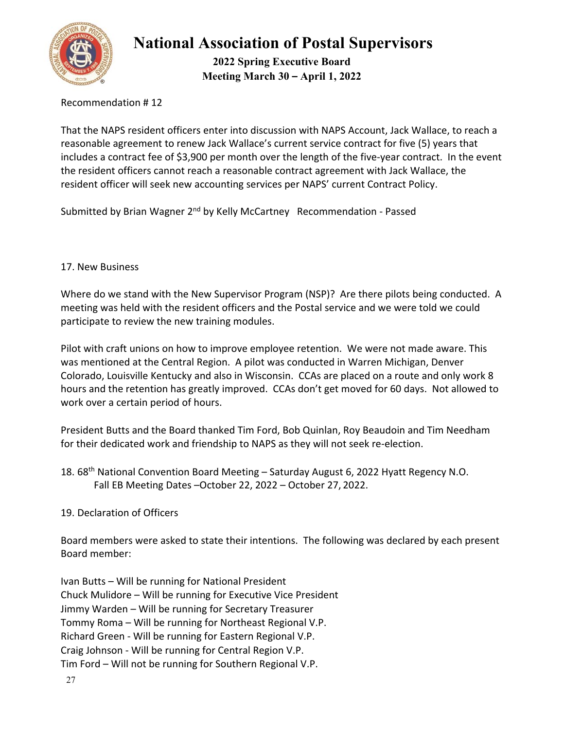

**2022 Spring Executive Board Meeting March 30 – April 1, 2022** 

Recommendation # 12

That the NAPS resident officers enter into discussion with NAPS Account, Jack Wallace, to reach a reasonable agreement to renew Jack Wallace's current service contract for five (5) years that includes a contract fee of \$3,900 per month over the length of the five‐year contract. In the event the resident officers cannot reach a reasonable contract agreement with Jack Wallace, the resident officer will seek new accounting services per NAPS' current Contract Policy.

Submitted by Brian Wagner 2<sup>nd</sup> by Kelly McCartney Recommendation - Passed

### 17. New Business

Where do we stand with the New Supervisor Program (NSP)? Are there pilots being conducted. A meeting was held with the resident officers and the Postal service and we were told we could participate to review the new training modules.

Pilot with craft unions on how to improve employee retention. We were not made aware. This was mentioned at the Central Region. A pilot was conducted in Warren Michigan, Denver Colorado, Louisville Kentucky and also in Wisconsin. CCAs are placed on a route and only work 8 hours and the retention has greatly improved. CCAs don't get moved for 60 days. Not allowed to work over a certain period of hours.

President Butts and the Board thanked Tim Ford, Bob Quinlan, Roy Beaudoin and Tim Needham for their dedicated work and friendship to NAPS as they will not seek re‐election.

18. 68<sup>th</sup> National Convention Board Meeting - Saturday August 6, 2022 Hyatt Regency N.O. Fall EB Meeting Dates –October 22, 2022 – October 27, 2022.

### 19. Declaration of Officers

Board members were asked to state their intentions. The following was declared by each present Board member:

Ivan Butts – Will be running for National President Chuck Mulidore – Will be running for Executive Vice President Jimmy Warden – Will be running for Secretary Treasurer Tommy Roma – Will be running for Northeast Regional V.P. Richard Green ‐ Will be running for Eastern Regional V.P. Craig Johnson ‐ Will be running for Central Region V.P. Tim Ford – Will not be running for Southern Regional V.P.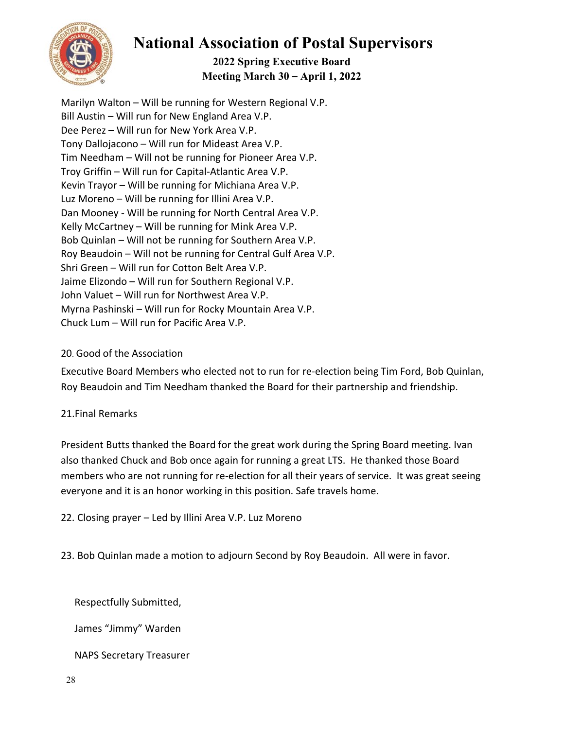

## **2022 Spring Executive Board Meeting March 30 – April 1, 2022**

Marilyn Walton – Will be running for Western Regional V.P. Bill Austin – Will run for New England Area V.P. Dee Perez – Will run for New York Area V.P. Tony Dallojacono – Will run for Mideast Area V.P. Tim Needham – Will not be running for Pioneer Area V.P. Troy Griffin – Will run for Capital‐Atlantic Area V.P. Kevin Trayor – Will be running for Michiana Area V.P. Luz Moreno – Will be running for Illini Area V.P. Dan Mooney ‐ Will be running for North Central Area V.P. Kelly McCartney – Will be running for Mink Area V.P. Bob Quinlan – Will not be running for Southern Area V.P. Roy Beaudoin – Will not be running for Central Gulf Area V.P. Shri Green – Will run for Cotton Belt Area V.P. Jaime Elizondo – Will run for Southern Regional V.P. John Valuet – Will run for Northwest Area V.P. Myrna Pashinski – Will run for Rocky Mountain Area V.P. Chuck Lum – Will run for Pacific Area V.P.

## 20. Good of the Association

Executive Board Members who elected not to run for re‐election being Tim Ford, Bob Quinlan, Roy Beaudoin and Tim Needham thanked the Board for their partnership and friendship.

## 21.Final Remarks

President Butts thanked the Board for the great work during the Spring Board meeting. Ivan also thanked Chuck and Bob once again for running a great LTS. He thanked those Board members who are not running for re-election for all their years of service. It was great seeing everyone and it is an honor working in this position. Safe travels home.

22. Closing prayer – Led by Illini Area V.P. Luz Moreno

23. Bob Quinlan made a motion to adjourn Second by Roy Beaudoin. All were in favor.

Respectfully Submitted,

James "Jimmy" Warden

NAPS Secretary Treasurer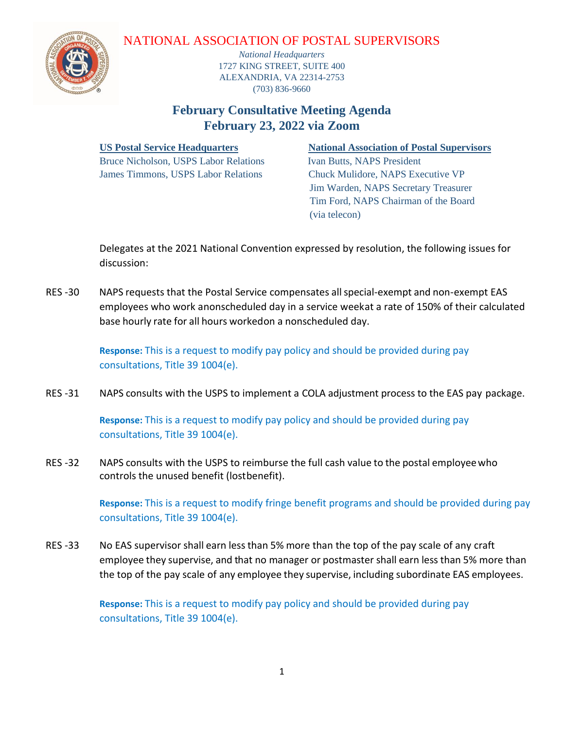### NATIONAL ASSOCIATION OF POSTAL SUPERVISORS



*National Headquarters* 1727 KING STREET, SUITE 400 ALEXANDRIA, VA 22314-2753 (703) 836-9660

# **February Consultative Meeting Agenda February 23, 2022 via Zoom**

Bruce Nicholson, USPS Labor Relations Ivan Butts, NAPS President James Timmons, USPS Labor Relations Chuck Mulidore, NAPS Executive VP

### **US Postal Service Headquarters National Association of Postal Supervisors**

 Jim Warden, NAPS Secretary Treasurer Tim Ford, NAPS Chairman of the Board (via telecon)

 Delegates at the 2021 National Convention expressed by resolution, the following issues for discussion:

 RES -30 NAPS requests that the Postal Service compensates allspecial-exempt and non-exempt EAS employees who work anonscheduled day in a service weekat a rate of 150% of their calculated base hourly rate for all hours workedon a nonscheduled day.

> **Response:** This is a request to modify pay policy and should be provided during pay consultations, Title 39 1004(e).

RES -31 NAPS consults with the USPS to implement a COLA adjustment process to the EAS pay package.

**Response:** This is a request to modify pay policy and should be provided during pay consultations, Title 39 1004(e).

RES -32 NAPS consults with the USPS to reimburse the full cash value to the postal employee who controls the unused benefit (lostbenefit).

> **Response:** This is a request to modify fringe benefit programs and should be provided during pay consultations, Title 39 1004(e).

RES -33 No EAS supervisor shall earn less than 5% more than the top of the pay scale of any craft employee they supervise, and that no manager or postmaster shall earn less than 5% more than the top of the pay scale of any employee they supervise, including subordinate EAS employees.

> **Response:** This is a request to modify pay policy and should be provided during pay consultations, Title 39 1004(e).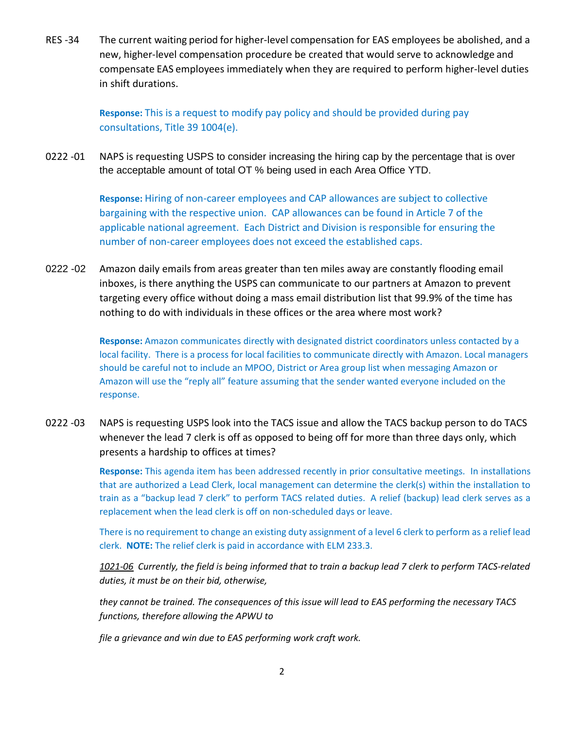RES -34 The current waiting period for higher-level compensation for EAS employees be abolished, and a new, higher-level compensation procedure be created that would serve to acknowledge and compensate EAS employees immediately when they are required to perform higher-level duties in shift durations.

> **Response:** This is a request to modify pay policy and should be provided during pay consultations, Title 39 1004(e).

0222 -01 NAPS is requesting USPS to consider increasing the hiring cap by the percentage that is over the acceptable amount of total OT % being used in each Area Office YTD.

> **Response:** Hiring of non-career employees and CAP allowances are subject to collective bargaining with the respective union. CAP allowances can be found in Article 7 of the applicable national agreement. Each District and Division is responsible for ensuring the number of non-career employees does not exceed the established caps.

0222 -02 Amazon daily emails from areas greater than ten miles away are constantly flooding email inboxes, is there anything the USPS can communicate to our partners at Amazon to prevent targeting every office without doing a mass email distribution list that 99.9% of the time has nothing to do with individuals in these offices or the area where most work?

> **Response:** Amazon communicates directly with designated district coordinators unless contacted by a local facility. There is a process for local facilities to communicate directly with Amazon. Local managers should be careful not to include an MPOO, District or Area group list when messaging Amazon or Amazon will use the "reply all" feature assuming that the sender wanted everyone included on the response.

0222 -03 NAPS is requesting USPS look into the TACS issue and allow the TACS backup person to do TACS whenever the lead 7 clerk is off as opposed to being off for more than three days only, which presents a hardship to offices at times?

> **Response:** This agenda item has been addressed recently in prior consultative meetings. In installations that are authorized a Lead Clerk, local management can determine the clerk(s) within the installation to train as a "backup lead 7 clerk" to perform TACS related duties. A relief (backup) lead clerk serves as a replacement when the lead clerk is off on non-scheduled days or leave.

> There is no requirement to change an existing duty assignment of a level 6 clerk to perform as a relief lead clerk. **NOTE:** The relief clerk is paid in accordance with ELM 233.3.

> *1021-06 Currently, the field is being informed that to train a backup lead 7 clerk to perform TACS-related duties, it must be on their bid, otherwise,*

*they cannot be trained. The consequences of this issue will lead to EAS performing the necessary TACS functions, therefore allowing the APWU to* 

*file a grievance and win due to EAS performing work craft work.*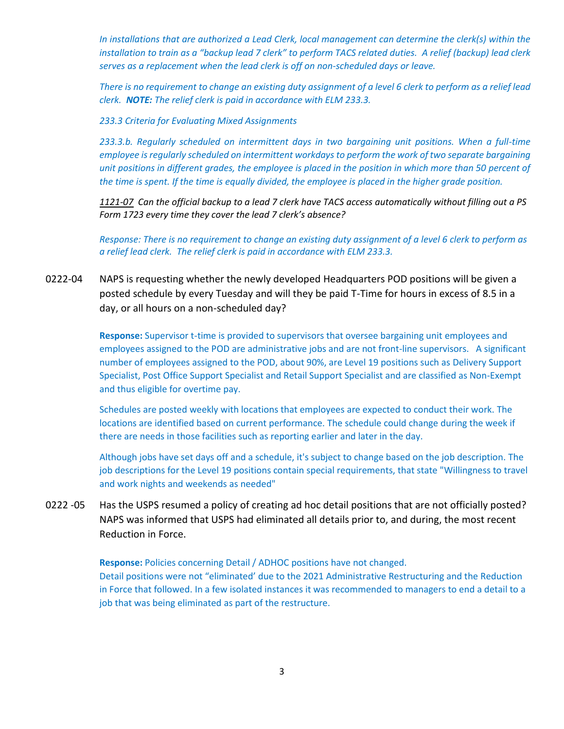*In installations that are authorized a Lead Clerk, local management can determine the clerk(s) within the installation to train as a "backup lead 7 clerk" to perform TACS related duties. A relief (backup) lead clerk serves as a replacement when the lead clerk is off on non-scheduled days or leave.*

*There is no requirement to change an existing duty assignment of a level 6 clerk to perform as a relief lead clerk. NOTE: The relief clerk is paid in accordance with ELM 233.3.*

*233.3 Criteria for Evaluating Mixed Assignments* 

*233.3.b. Regularly scheduled on intermittent days in two bargaining unit positions. When a full-time employee is regularly scheduled on intermittent workdays to perform the work of two separate bargaining unit positions in different grades, the employee is placed in the position in which more than 50 percent of the time is spent. If the time is equally divided, the employee is placed in the higher grade position.*

*1121-07 Can the official backup to a lead 7 clerk have TACS access automatically without filling out a PS Form 1723 every time they cover the lead 7 clerk's absence?*

*Response: There is no requirement to change an existing duty assignment of a level 6 clerk to perform as a relief lead clerk. The relief clerk is paid in accordance with ELM 233.3.*

0222-04 NAPS is requesting whether the newly developed Headquarters POD positions will be given a posted schedule by every Tuesday and will they be paid T-Time for hours in excess of 8.5 in a day, or all hours on a non-scheduled day?

> **Response:** Supervisor t-time is provided to supervisors that oversee bargaining unit employees and employees assigned to the POD are administrative jobs and are not front-line supervisors. A significant number of employees assigned to the POD, about 90%, are Level 19 positions such as Delivery Support Specialist, Post Office Support Specialist and Retail Support Specialist and are classified as Non-Exempt and thus eligible for overtime pay.

Schedules are posted weekly with locations that employees are expected to conduct their work. The locations are identified based on current performance. The schedule could change during the week if there are needs in those facilities such as reporting earlier and later in the day.

Although jobs have set days off and a schedule, it's subject to change based on the job description. The job descriptions for the Level 19 positions contain special requirements, that state "Willingness to travel and work nights and weekends as needed"

0222 -05 Has the USPS resumed a policy of creating ad hoc detail positions that are not officially posted? NAPS was informed that USPS had eliminated all details prior to, and during, the most recent Reduction in Force.

> **Response:** Policies concerning Detail / ADHOC positions have not changed. Detail positions were not "eliminated' due to the 2021 Administrative Restructuring and the Reduction in Force that followed. In a few isolated instances it was recommended to managers to end a detail to a job that was being eliminated as part of the restructure.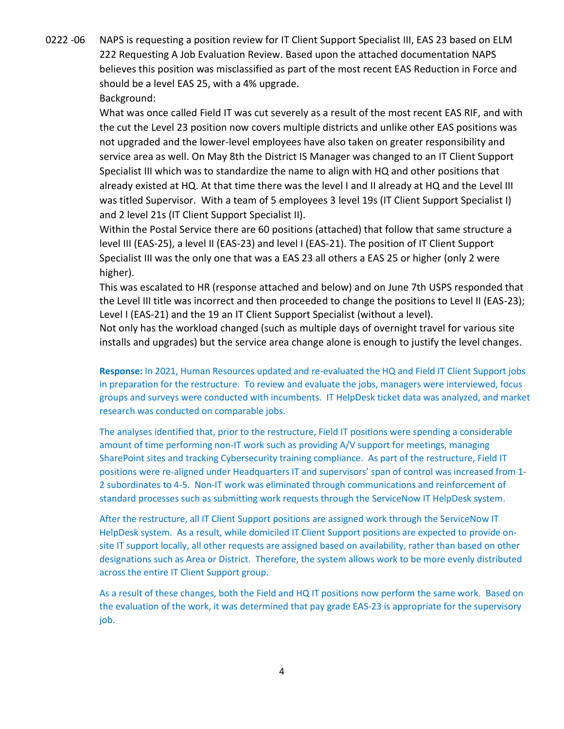0222 -06 NAPS is requesting a position review for IT Client Support Specialist III, EAS 23 based on ELM 222 Requesting A Job Evaluation Review. Based upon the attached documentation NAPS believes this position was misclassified as part of the most recent EAS Reduction in Force and should be a level EAS 25, with a 4% upgrade.

Background:

What was once called Field IT was cut severely as a result of the most recent EAS RIF, and with the cut the Level 23 position now covers multiple districts and unlike other EAS positions was not upgraded and the lower-level employees have also taken on greater responsibility and service area as well. On May 8th the District IS Manager was changed to an IT Client Support Specialist III which was to standardize the name to align with HQ and other positions that already existed at HQ. At that time there was the level I and II already at HQ and the Level III was titled Supervisor. With a team of 5 employees 3 level 19s (IT Client Support Specialist I) and 2 level 21s (IT Client Support Specialist II).

Within the Postal Service there are 60 positions (attached) that follow that same structure a level III (EAS-25), a level II (EAS-23) and level I (EAS-21). The position of IT Client Support Specialist III was the only one that was a EAS 23 all others a EAS 25 or higher (only 2 were higher).

This was escalated to HR (response attached and below) and on June 7th USPS responded that the Level III title was incorrect and then proceeded to change the positions to Level II (EAS-23); Level I (EAS-21) and the 19 an IT Client Support Specialist (without a level).

Not only has the workload changed (such as multiple days of overnight travel for various site installs and upgrades) but the service area change alone is enough to justify the level changes.

**Response:** In 2021, Human Resources updated and re-evaluated the HQ and Field IT Client Support jobs in preparation for the restructure. To review and evaluate the jobs, managers were interviewed, focus groups and surveys were conducted with incumbents. IT HelpDesk ticket data was analyzed, and market research was conducted on comparable jobs.

The analyses identified that, prior to the restructure, Field IT positions were spending a considerable amount of time performing non-IT work such as providing A/V support for meetings, managing SharePoint sites and tracking Cybersecurity training compliance. As part of the restructure, Field IT positions were re-aligned under Headquarters IT and supervisors' span of control was increased from 1- 2 subordinates to 4-5. Non-IT work was eliminated through communications and reinforcement of standard processes such as submitting work requests through the ServiceNow IT HelpDesk system.

After the restructure, all IT Client Support positions are assigned work through the ServiceNow IT HelpDesk system. As a result, while domiciled IT Client Support positions are expected to provide onsite IT support locally, all other requests are assigned based on availability, rather than based on other designations such as Area or District. Therefore, the system allows work to be more evenly distributed across the entire IT Client Support group.

As a result of these changes, both the Field and HQ IT positions now perform the same work. Based on the evaluation of the work, it was determined that pay grade EAS-23 is appropriate for the supervisory job.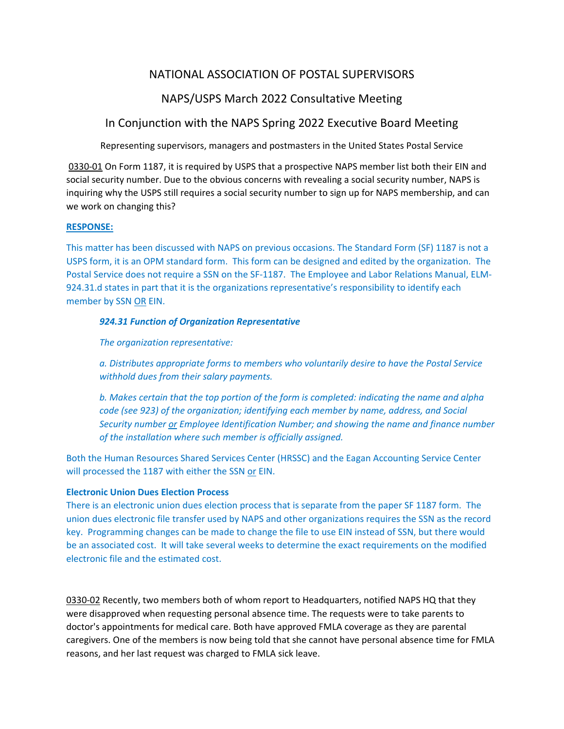## NATIONAL ASSOCIATION OF POSTAL SUPERVISORS

### NAPS/USPS March 2022 Consultative Meeting

### In Conjunction with the NAPS Spring 2022 Executive Board Meeting

Representing supervisors, managers and postmasters in the United States Postal Service

0330-01 On Form 1187, it is required by USPS that a prospective NAPS member list both their EIN and social security number. Due to the obvious concerns with revealing a social security number, NAPS is inquiring why the USPS still requires a social security number to sign up for NAPS membership, and can we work on changing this?

#### **RESPONSE:**

This matter has been discussed with NAPS on previous occasions. The Standard Form (SF) 1187 is not a USPS form, it is an OPM standard form. This form can be designed and edited by the organization. The Postal Service does not require a SSN on the SF‐1187. The Employee and Labor Relations Manual, ELM‐ 924.31.d states in part that it is the organizations representative's responsibility to identify each member by SSN OR EIN.

#### *924.31 Function of Organization Representative*

*The organization representative:* 

*a. Distributes appropriate forms to members who voluntarily desire to have the Postal Service withhold dues from their salary payments.* 

*b. Makes certain that the top portion of the form is completed: indicating the name and alpha code (see 923) of the organization; identifying each member by name, address, and Social Security number or Employee Identification Number; and showing the name and finance number of the installation where such member is officially assigned.* 

Both the Human Resources Shared Services Center (HRSSC) and the Eagan Accounting Service Center will processed the 1187 with either the SSN or EIN.

#### **Electronic Union Dues Election Process**

There is an electronic union dues election process that is separate from the paper SF 1187 form. The union dues electronic file transfer used by NAPS and other organizations requires the SSN as the record key. Programming changes can be made to change the file to use EIN instead of SSN, but there would be an associated cost. It will take several weeks to determine the exact requirements on the modified electronic file and the estimated cost.

0330‐02 Recently, two members both of whom report to Headquarters, notified NAPS HQ that they were disapproved when requesting personal absence time. The requests were to take parents to doctor's appointments for medical care. Both have approved FMLA coverage as they are parental caregivers. One of the members is now being told that she cannot have personal absence time for FMLA reasons, and her last request was charged to FMLA sick leave.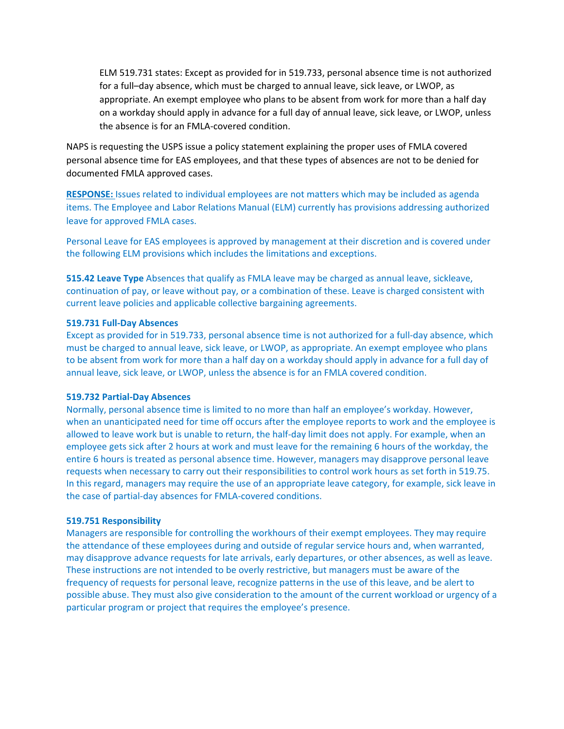ELM 519.731 states: Except as provided for in 519.733, personal absence time is not authorized for a full–day absence, which must be charged to annual leave, sick leave, or LWOP, as appropriate. An exempt employee who plans to be absent from work for more than a half day on a workday should apply in advance for a full day of annual leave, sick leave, or LWOP, unless the absence is for an FMLA‐covered condition.

NAPS is requesting the USPS issue a policy statement explaining the proper uses of FMLA covered personal absence time for EAS employees, and that these types of absences are not to be denied for documented FMLA approved cases.

**RESPONSE:** Issues related to individual employees are not matters which may be included as agenda items. The Employee and Labor Relations Manual (ELM) currently has provisions addressing authorized leave for approved FMLA cases.

Personal Leave for EAS employees is approved by management at their discretion and is covered under the following ELM provisions which includes the limitations and exceptions.

**515.42 Leave Type** Absences that qualify as FMLA leave may be charged as annual leave, sickleave, continuation of pay, or leave without pay, or a combination of these. Leave is charged consistent with current leave policies and applicable collective bargaining agreements.

#### **519.731 Full‐Day Absences**

Except as provided for in 519.733, personal absence time is not authorized for a full-day absence, which must be charged to annual leave, sick leave, or LWOP, as appropriate. An exempt employee who plans to be absent from work for more than a half day on a workday should apply in advance for a full day of annual leave, sick leave, or LWOP, unless the absence is for an FMLA covered condition.

#### **519.732 Partial‐Day Absences**

Normally, personal absence time is limited to no more than half an employee's workday. However, when an unanticipated need for time off occurs after the employee reports to work and the employee is allowed to leave work but is unable to return, the half-day limit does not apply. For example, when an employee gets sick after 2 hours at work and must leave for the remaining 6 hours of the workday, the entire 6 hours is treated as personal absence time. However, managers may disapprove personal leave requests when necessary to carry out their responsibilities to control work hours as set forth in 519.75. In this regard, managers may require the use of an appropriate leave category, for example, sick leave in the case of partial‐day absences for FMLA‐covered conditions.

#### **519.751 Responsibility**

Managers are responsible for controlling the workhours of their exempt employees. They may require the attendance of these employees during and outside of regular service hours and, when warranted, may disapprove advance requests for late arrivals, early departures, or other absences, as well as leave. These instructions are not intended to be overly restrictive, but managers must be aware of the frequency of requests for personal leave, recognize patterns in the use of this leave, and be alert to possible abuse. They must also give consideration to the amount of the current workload or urgency of a particular program or project that requires the employee's presence.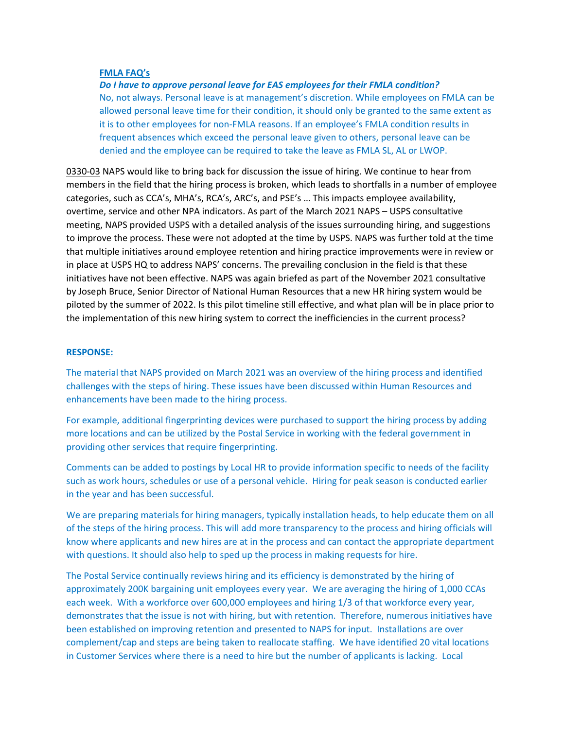#### **FMLA FAQ's**

*Do I have to approve personal leave for EAS employees for their FMLA condition?*  No, not always. Personal leave is at management's discretion. While employees on FMLA can be allowed personal leave time for their condition, it should only be granted to the same extent as it is to other employees for non‐FMLA reasons. If an employee's FMLA condition results in frequent absences which exceed the personal leave given to others, personal leave can be denied and the employee can be required to take the leave as FMLA SL, AL or LWOP.

0330-03 NAPS would like to bring back for discussion the issue of hiring. We continue to hear from members in the field that the hiring process is broken, which leads to shortfalls in a number of employee categories, such as CCA's, MHA's, RCA's, ARC's, and PSE's … This impacts employee availability, overtime, service and other NPA indicators. As part of the March 2021 NAPS – USPS consultative meeting, NAPS provided USPS with a detailed analysis of the issues surrounding hiring, and suggestions to improve the process. These were not adopted at the time by USPS. NAPS was further told at the time that multiple initiatives around employee retention and hiring practice improvements were in review or in place at USPS HQ to address NAPS' concerns. The prevailing conclusion in the field is that these initiatives have not been effective. NAPS was again briefed as part of the November 2021 consultative by Joseph Bruce, Senior Director of National Human Resources that a new HR hiring system would be piloted by the summer of 2022. Is this pilot timeline still effective, and what plan will be in place prior to the implementation of this new hiring system to correct the inefficiencies in the current process?

#### **RESPONSE:**

The material that NAPS provided on March 2021 was an overview of the hiring process and identified challenges with the steps of hiring. These issues have been discussed within Human Resources and enhancements have been made to the hiring process.

For example, additional fingerprinting devices were purchased to support the hiring process by adding more locations and can be utilized by the Postal Service in working with the federal government in providing other services that require fingerprinting.

Comments can be added to postings by Local HR to provide information specific to needs of the facility such as work hours, schedules or use of a personal vehicle. Hiring for peak season is conducted earlier in the year and has been successful.

We are preparing materials for hiring managers, typically installation heads, to help educate them on all of the steps of the hiring process. This will add more transparency to the process and hiring officials will know where applicants and new hires are at in the process and can contact the appropriate department with questions. It should also help to sped up the process in making requests for hire.

The Postal Service continually reviews hiring and its efficiency is demonstrated by the hiring of approximately 200K bargaining unit employees every year. We are averaging the hiring of 1,000 CCAs each week. With a workforce over 600,000 employees and hiring 1/3 of that workforce every year, demonstrates that the issue is not with hiring, but with retention. Therefore, numerous initiatives have been established on improving retention and presented to NAPS for input. Installations are over complement/cap and steps are being taken to reallocate staffing. We have identified 20 vital locations in Customer Services where there is a need to hire but the number of applicants is lacking. Local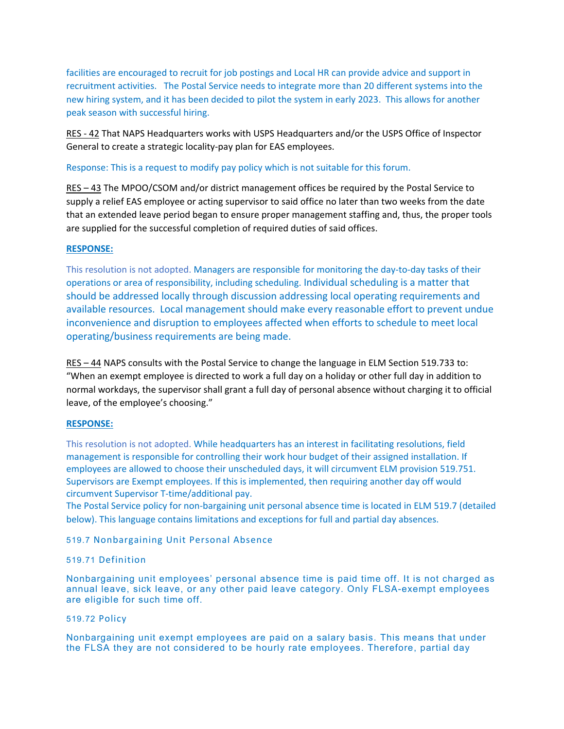facilities are encouraged to recruit for job postings and Local HR can provide advice and support in recruitment activities. The Postal Service needs to integrate more than 20 different systems into the new hiring system, and it has been decided to pilot the system in early 2023. This allows for another peak season with successful hiring.

RES ‐ 42 That NAPS Headquarters works with USPS Headquarters and/or the USPS Office of Inspector General to create a strategic locality‐pay plan for EAS employees.

#### Response: This is a request to modify pay policy which is not suitable for this forum.

RES – 43 The MPOO/CSOM and/or district management offices be required by the Postal Service to supply a relief EAS employee or acting supervisor to said office no later than two weeks from the date that an extended leave period began to ensure proper management staffing and, thus, the proper tools are supplied for the successful completion of required duties of said offices.

#### **RESPONSE:**

This resolution is not adopted. Managers are responsible for monitoring the day-to-day tasks of their operations or area of responsibility, including scheduling. Individual scheduling is a matter that should be addressed locally through discussion addressing local operating requirements and available resources. Local management should make every reasonable effort to prevent undue inconvenience and disruption to employees affected when efforts to schedule to meet local operating/business requirements are being made.

RES – 44 NAPS consults with the Postal Service to change the language in ELM Section 519.733 to: "When an exempt employee is directed to work a full day on a holiday or other full day in addition to normal workdays, the supervisor shall grant a full day of personal absence without charging it to official leave, of the employee's choosing."

#### **RESPONSE:**

This resolution is not adopted. While headquarters has an interest in facilitating resolutions, field management is responsible for controlling their work hour budget of their assigned installation. If employees are allowed to choose their unscheduled days, it will circumvent ELM provision 519.751. Supervisors are Exempt employees. If this is implemented, then requiring another day off would circumvent Supervisor T‐time/additional pay.

The Postal Service policy for non-bargaining unit personal absence time is located in ELM 519.7 (detailed below). This language contains limitations and exceptions for full and partial day absences.

#### 519.7 Nonbargaining Unit Personal Absence

#### 519.71 Definition

Nonbargaining unit employees' personal absence time is paid time off. It is not charged as annual leave, sick leave, or any other paid leave category. Only FLSA-exempt employees are eligible for such time off.

#### 519.72 Policy

Nonbargaining unit exempt employees are paid on a salary basis. This means that under the FLSA they are not considered to be hourly rate employees. Therefore, partial day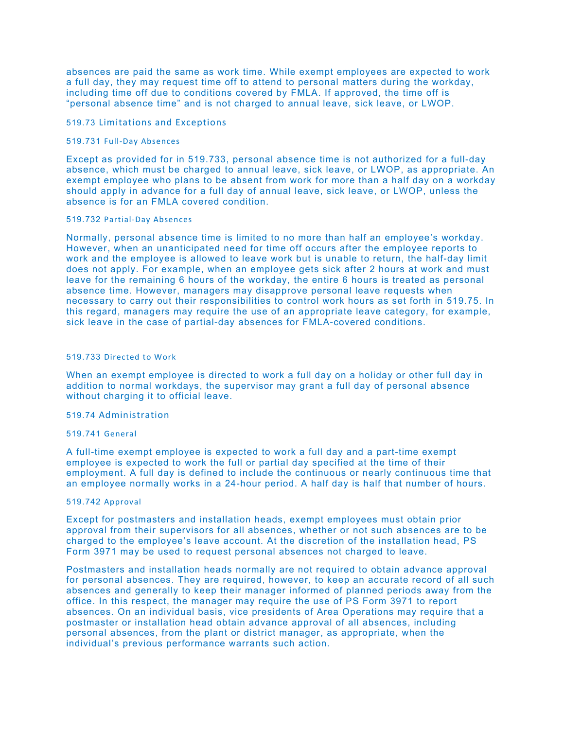absences are paid the same as work time. While exempt employees are expected to work a full day, they may request time off to attend to personal matters during the workday, including time off due to conditions covered by FMLA. If approved, the time off is "personal absence time" and is not charged to annual leave, sick leave, or LWOP.

#### 519.73 Limitations and Exceptions

#### 519.731 Full‐Day Absences

Except as provided for in 519.733, personal absence time is not authorized for a full-day absence, which must be charged to annual leave, sick leave, or LWOP, as appropriate. An exempt employee who plans to be absent from work for more than a half day on a workday should apply in advance for a full day of annual leave, sick leave, or LWOP, unless the absence is for an FMLA covered condition.

#### 519.732 Partial‐Day Absences

Normally, personal absence time is limited to no more than half an employee's workday. However, when an unanticipated need for time off occurs after the employee reports to work and the employee is allowed to leave work but is unable to return, the half-day limit does not apply. For example, when an employee gets sick after 2 hours at work and must leave for the remaining 6 hours of the workday, the entire 6 hours is treated as personal absence time. However, managers may disapprove personal leave requests when necessary to carry out their responsibilities to control work hours as set forth in 519.75. In this regard, managers may require the use of an appropriate leave category, for example, sick leave in the case of partial-day absences for FMLA-covered conditions.

#### 519.733 Directed to Work

When an exempt employee is directed to work a full day on a holiday or other full day in addition to normal workdays, the supervisor may grant a full day of personal absence without charging it to official leave.

#### 519.74 Administration

#### 519.741 General

A full-time exempt employee is expected to work a full day and a part-time exempt employee is expected to work the full or partial day specified at the time of their employment. A full day is defined to include the continuous or nearly continuous time that an employee normally works in a 24-hour period. A half day is half that number of hours.

#### 519.742 Approval

Except for postmasters and installation heads, exempt employees must obtain prior approval from their supervisors for all absences, whether or not such absences are to be charged to the employee's leave account. At the discretion of the installation head, PS Form 3971 may be used to request personal absences not charged to leave.

Postmasters and installation heads normally are not required to obtain advance approval for personal absences. They are required, however, to keep an accurate record of all such absences and generally to keep their manager informed of planned periods away from the office. In this respect, the manager may require the use of PS Form 3971 to report absences. On an individual basis, vice presidents of Area Operations may require that a postmaster or installation head obtain advance approval of all absences, including personal absences, from the plant or district manager, as appropriate, when the individual's previous performance warrants such action.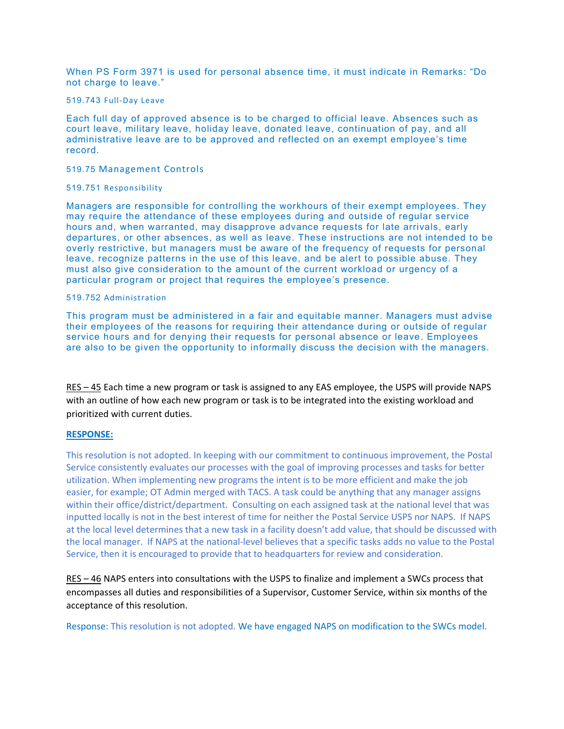When PS Form 3971 is used for personal absence time, it must indicate in Remarks: "Do not charge to leave."

#### 519.743 Full‐Day Leave

Each full day of approved absence is to be charged to official leave. Absences such as court leave, military leave, holiday leave, donated leave, continuation of pay, and all administrative leave are to be approved and reflected on an exempt employee's time record.

#### 519.75 Management Controls

#### 519.751 Responsibility

Managers are responsible for controlling the workhours of their exempt employees. They may require the attendance of these employees during and outside of regular service hours and, when warranted, may disapprove advance requests for late arrivals, early departures, or other absences, as well as leave. These instructions are not intended to be overly restrictive, but managers must be aware of the frequency of requests for personal leave, recognize patterns in the use of this leave, and be alert to possible abuse. They must also give consideration to the amount of the current workload or urgency of a particular program or project that requires the employee's presence.

#### 519.752 Administration

This program must be administered in a fair and equitable manner. Managers must advise their employees of the reasons for requiring their attendance during or outside of regular service hours and for denying their requests for personal absence or leave. Employees are also to be given the opportunity to informally discuss the decision with the managers.

RES – 45 Each time a new program or task is assigned to any EAS employee, the USPS will provide NAPS with an outline of how each new program or task is to be integrated into the existing workload and prioritized with current duties.

#### **RESPONSE:**

This resolution is not adopted. In keeping with our commitment to continuous improvement, the Postal Service consistently evaluates our processes with the goal of improving processes and tasks for better utilization. When implementing new programs the intent is to be more efficient and make the job easier, for example; OT Admin merged with TACS. A task could be anything that any manager assigns within their office/district/department. Consulting on each assigned task at the national level that was inputted locally is not in the best interest of time for neither the Postal Service USPS nor NAPS. If NAPS at the local level determines that a new task in a facility doesn't add value, that should be discussed with the local manager. If NAPS at the national‐level believes that a specific tasks adds no value to the Postal Service, then it is encouraged to provide that to headquarters for review and consideration.

RES – 46 NAPS enters into consultations with the USPS to finalize and implement a SWCs process that encompasses all duties and responsibilities of a Supervisor, Customer Service, within six months of the acceptance of this resolution.

Response: This resolution is not adopted. We have engaged NAPS on modification to the SWCs model.